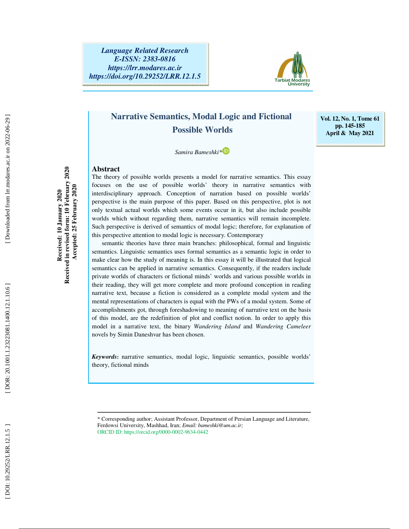

# **Narrative Semantics, Modal Logic and Fictional Possible Worlds**

**Vol. 12, No. 1, Tome 61 pp. 145-185 April & May 2021** 

 *Samira Bameshki\**

#### **Abstract**

The theory of possible worlds presents a model for narrative semantics. This essay focuses on the use of possible worlds' theory in narrative semantics with interdisciplinary approach. Conception of narration based on possible worlds' perspective is the main purpose of this paper. Based on this perspective, plot is not only textual actual worlds which some events occur in it, but also include possible worlds which without regarding them, narrative semantics will remain incomplete. Such perspective is derived of semantics of modal logic; therefore, for explanation of this perspective attention to modal logic is necessary. Contemporary

semantic theories have three main branches: philosophical, formal and linguistic semantics. Linguistic semantics uses formal semantics as a semantic logic in order to make clear how the study of meaning is. In this essay it will be illustrated that logical semantics can be applied in narrative semantics. Consequently, if the readers include private worlds of characters or fictional minds' worlds and various possible worlds in their reading, they will get more complete and more profound conception in reading narrative text, because a fiction is considered as a complete modal system and the mental representations of characters is equal with the PWs of a modal system. Some of accomplishments got, through foreshadowing to meaning of narrative text on the basis of this model, are the redefinition of plot and conflict notion. In order to apply this model in a narrative text, the binary *Wandering Island* and *Wandering Cameleer* novels by Simin Daneshvar has been chosen.

*Keywords* **:** narrative semantics, modal logic, linguistic semantics, possible worlds' theory, fictional minds

ــــــــــــــــــــــــــــــــــــــــــــــــــــــــــــــــــــــــــــــــــــــــــــــــــــــــــــــــــــــــــــــــــــــــــ

**Received in revised form: 10 February 2020**  Received in revised form: 10 February 2020  **Accepted: 25 February 2020**  Accepted: 25 February 2020 Received: 10 January 2020 **Received: 10 January 2020** 

<sup>\*</sup> Corresponding author; Assistant Professor, Department of Persian Language and Literature, Ferdowsi University, Mashhad, Iran; *Email: bameshki@um.ac.ir;* ORCID ID: https://orcid.org/0000-0002-9634-0442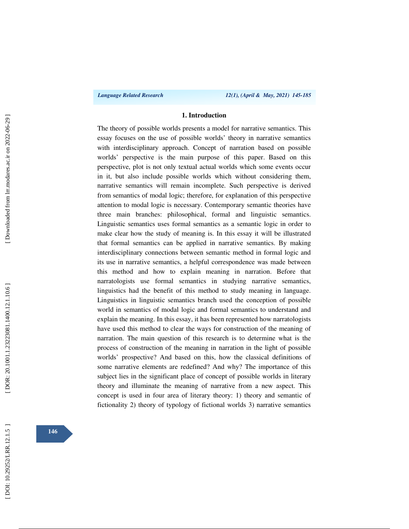#### **1. Introduction**

The theory of possible worlds presents a model for narrative semantics. This essay focuses on the use of possible worlds' theory in narrative semantics with interdisciplinary approach. Concept of narration based on possible worlds' perspective is the main purpose of this paper. Based on this perspective, plot is not only textual actual worlds which some events occur in it, but also include possible worlds which without considering them, narrative semantics will remain incomplete. Such perspective is derived from semantics of modal logic; therefore, for explanation of this perspective attention to modal logic is necessary. Contemporary semantic theories have three main branches: philosophical, formal and linguistic semantics. Linguistic semantics uses formal semantics as a semantic logic in order to make clear how the study of meaning is. In this essay it will be illustrated that formal semantics can be applied in narrative semantics. By making interdisciplinary connections between semantic method in formal logic and its use in narrative semantics, a helpful correspondence was made between this method and how to explain meaning in narration. Before that narratologists use formal semantics in studying narrative semantics, linguistics had the benefit of this method to study meaning in language. Linguistics in linguistic semantics branch used the conception of possible world in semantics of modal logic and formal semantics to understand and explain the meaning. In this essay, it has been represented how narratologists have used this method to clear the ways for construction of the meaning of narration. The main question of this research is to determine what is the process of construction of the meaning in narration in the light of possible worlds' prospective? And based on this, how the classical definitions of some narrative elements are redefined? And why? The importance of this subject lies in the significant place of concept of possible worlds in literary theory and illuminate the meaning of narrative from a new aspect. This concept is used in four area of literary theory: 1) theory and semantic of fictionality 2) theory of typology of fictional worlds 3) narrative semantics

**146**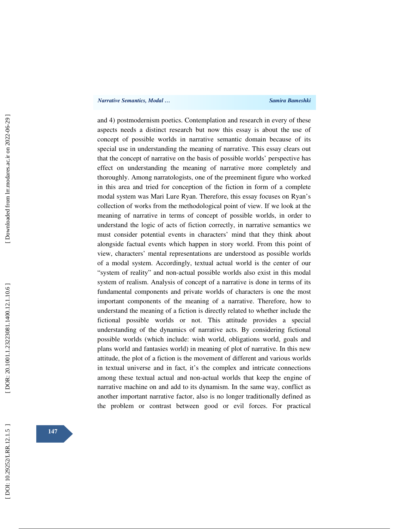#### *Narrative Semantics, Modal … Samira Bameshki*

and 4) postmodernism poetics. Contemplation and research in every of these aspects needs a distinct research but now this essay is about the use of concept of possible worlds in narrative semantic domain because of its special use in understanding the meaning of narrative. This essay clears out that the concept of narrative on the basis of possible worlds' perspective has effect on understanding the meaning of narrative more completely and thoroughly. Among narratologists, one of the preeminent figure who worked in this area and tried for conception of the fiction in form of a complete modal system was Mari Lure Ryan. Therefore, this essay focuses on Ryan's collection of works from the methodological point of view. If we look at the meaning of narrative in terms of concept of possible worlds, in order to understand the logic of acts of fiction correctly, in narrative semantics we must consider potential events in characters' mind that they think about alongside factual events which happen in story world. From this point of view, characters' mental representations are understood as possible worlds of a modal system. Accordingly, textual actual world is the center of our "system of reality" and non-actual possible worlds also exist in this modal system of realism. Analysis of concept of a narrative is done in terms of its fundamental components and private worlds of characters is one the most important components of the meaning of a narrative. Therefore, how to understand the meaning of a fiction is directly related to whether include the fictional possible worlds or not. This attitude provides a special understanding of the dynamics of narrative acts. By considering fictional possible worlds (which include: wish world, obligations world, goals and plans world and fantasies world) in meaning of plot of narrative. In this new attitude, the plot of a fiction is the movement of different and various worlds in textual universe and in fact, it's the complex and intricate connections among these textual actual and non-actual worlds that keep the engine of narrative machine on and add to its dynamism. In the same way, conflict as another important narrative factor, also is no longer traditionally defined as the problem or contrast between good or evil forces. For practical

Downloaded from lrr.modares.ac.ir on 2022-06-29

**147**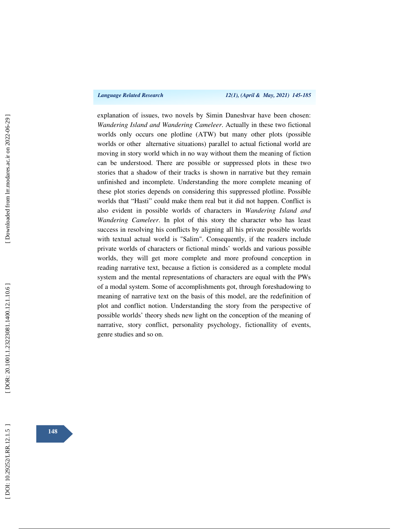explanation of issues, two novels by Simin Daneshvar have been chosen: *Wandering Island and Wandering Cameleer*. Actually in these two fictional worlds only occurs one plotline (ATW) but many other plots (possible worlds or other alternative situations) parallel to actual fictional world are moving in story world which in no way without them the meaning of fiction can be understood. There are possible or suppressed plots in these two stories that a shadow of their tracks is shown in narrative but they remain unfinished and incomplete. Understanding the more complete meaning of these plot stories depends on considering this suppressed plotline. Possible worlds that "Hasti" could make them real but it did not happen. Conflict is also evident in possible worlds of characters in *Wandering Island and Wandering Cameleer*. In plot of this story the character who has least success in resolving his conflicts by aligning all his private possible worlds with textual actual world is "Salim". Consequently, if the readers include private worlds of characters or fictional minds' worlds and various possible worlds, they will get more complete and more profound conception in reading narrative text, because a fiction is considered as a complete modal system and the mental representations of characters are equal with the PWs of a modal system. Some of accomplishments got, through foreshadowing to meaning of narrative text on the basis of this model, are the redefinition of plot and conflict notion. Understanding the story from the perspective of possible worlds' theory sheds new light on the conception of the meaning of narrative, story conflict, personality psychology, fictionallity of events, genre studies and so on.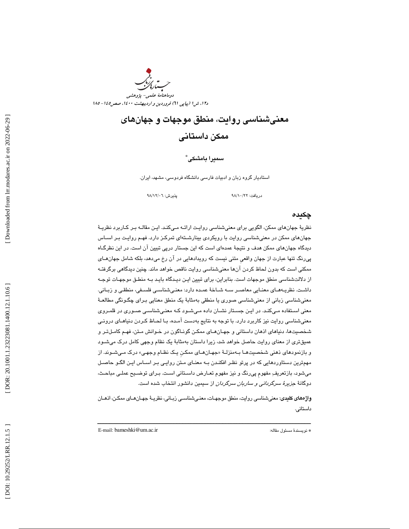

# معنيشناسي روايت، منطق موجهات و جهانهاي ممكن داستاني

سميرا بامشكى ٌ

استاديار گروه زبان و ادبيات فارسي دانشگاه فردوسي، مشهد، ايران.

دريافت: 22/ 10/ 98 پذيرش: 06/ 12/ 98

#### چكيده

نظرية جهانهاي ممكن، الگويي براي معنىشناسي روايـت ارائـه مـيكنـد. ايـن مقالـه بـر كـاربرد نظريـهٔ جهانهاي ممكن در معنيشناسي روايت با رويكردي بينارشـته اي تمركـز دارد. فهـم روايـت بـر اسـاس ديدگاه جهانهاي ممكن هدف و نتيجة عمدهاي است كه اين جستار درپي تبيين آن است. در اين نظرگـاه پيرنگ تنها عبارت از جهان واقعيِ متني نيست كه رويدادهايي در آن رخ ميدهد، بلكه شامل جهانهـاي ممكني است كه بدون لحاظ كردن آنها معنيشناسي روايت ناقص خواهد ماند. چنين ديدگاهي برگرفتـه از دلالتشناسي منطق موجهات است. بنابراين، براي تبيين ايـن ديـدگاه بايـد بـه منطـق موجهـات توجـه داشـت. نظريـه هـاي معنـايي معاصـر سـه شـاخة عمـده دارد: معنـي شناسـي فلسـفي، منطقـي و زبـاني. معنيشناسي زباني از معنيشناسي صوري يا منطقي بهمثابة يك منطق معنايي بـراي چگـونگي مطالعـة معني اسـتفاده مـي كنـد. در ايـن جسـتار نشـان داده مـي شـود كـه معنـي شناسـي صـوري در قلمـروي معنيشناسي روايت نيز كاربرد دارد. با توجه به نتايج به دست آمـده، بـا لحـاظ كـردن دنياهـاي درونـي شخصيتها، دنياهاي اذهان داستاني و جهـان هـاي ممكـن گونـاگون در خـوانش مـتن، فهـم كامـل تـر و عميقتري از معناي روايت حاصل خواهد شد، زيرا داستان بهمثابة يك نظام وجهي كامل درك ميشـود و بازنمودها*ی* ذهنی شخصیتهـا بـهمنزلـهٔ «جهـانهـای ممکـن یـک نظـام وجهـی» درک مـیشـوند. از مهمترين دستاوردهايي كه در پرتو نظـر افكنـدن بـه معنـاي مـتن روايـي بـر اسـاس ايـن الگـو حاصـل ميشود، بازتعريف مفهومِ پيرنگ و نيز مفهوم تعـارض داسـتاني اسـت. بـراي توضـيح عملـي مباحـث، دوگانة جزيرة سرگرداني و ساربان سرگردان از سيمين دانشور انتخاب شده است.

واژههاي كليدي: معنيشناسي روايت، منطق موجهـات، معنـي شناسـي زبـاني، نظريـة جهـان هـاي ممكـن، اذهـان داستاني.

ــــــــــــــــــــــــــــــــــــــــــــــــــــــــــــــــــــــــــــــــــــــــــــــــــــــــــــــــــــــــــــــــــــــــــ

E-mail: bameshki@um.ac.ir :مقاله مسئول نويسندة\*

DOR: 20.1001.1.23223081.1400.12.1.10.6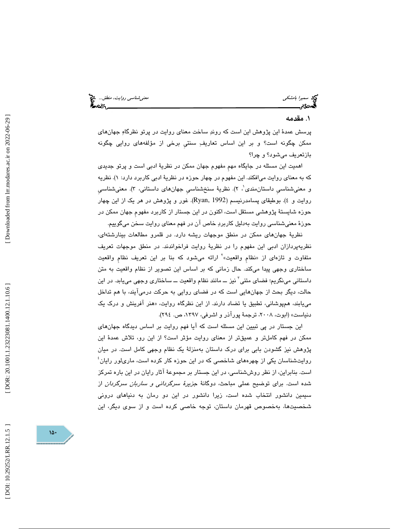سميرا بامشكي معنيشناسي روايت، منطق...

### ۱. مقدمه

پرسش عمدة اين پژوهش اين است كه روند ساخت معناي روايت در پرتو نظرگاه جهانهاي ممكن چگونه است؟ و بر اين اساس تعاريف سنتيِ برخي از مؤلفههاي روايي چگونه بازتعريف ميشود؟ و چرا؟

اهميت اين مسئله در جايگاه مهمِ مفهوم جهان ممكن در نظرية ادبي است و پرتو جديدي كه به معناى روايت مي|فكند. اين مفهوم در چهار حوزه در نظريهٔ ادبي كاربرد دارد: ۱). نظريه و معنىشناسي داستان،مندي'، ٢). نظريهٔ سنخشناسي جهانهاي داستاني، ٣). معنىشناسي روايت و ٤). بوطيقاى پسامدرنيسم (Ryan, 1992). غور و پژوهش در هر يک از اين چهار حوزه شايستة پژوهشي مستقل است، اكنون در اين جستار از كاربرد مفهومِ جهان ممكن در حوزة معنيشناسي روايت بهدليل كاربرد خاص آن در فهم معناي روايت سخن ميگوييم.

نظرية جهانهاي ممكن در منطق موجهات ريشه دارد. در قلمرو مطالعات بينارشتهاي، نظریهپردازان ادبی این مفهوم را در نظریهٔ روایت فراخواندند. در منطق موجهات تعریف<br>متفاوت و تازهای از «نظام واقعیت»<sup>۲</sup> ارائه میشود که بنا بر این تعریف نظام واقعیت ساختاري وجهي پيدا ميكند. حال زماني كه بر اساس اين تصوير از نظام واقعيت به متن داستاني مينگريم؛ فضاي متني<sup>7</sup> نيز ـــ مانند نظام واقعيت ـــ ساختاري وجهي مييابد. در اين حالت، ديگر بحث از جهانهايي است كه در فضاي روايي به حركت درميآيند، با هم تداخل میLبند، همپوشانی، تطبیق یا تضاد دارند. از این نظرگاه روایت، «هنر افرینش و درک یک دنياست» (ابوت، ۲۰۰۸، ترجمهٔ پورآذر و اشرفي، ۱۳۹۷، ص. ۲۹٤).

اين جستار در پي تبيين اين مسئله است كه آيا فهم روايت بر اساس ديدگاه جهانهاي ممكن در فهم كاملتر و عميقتر از معناي روايت مؤثر است؟ از اين رو، تلاش عمدة اين پژوهش نيز گشودن بابي براي درك داستان به منزلة يك نظام وجهي كامل است. در ميان روایتشناسان یکی از چهرههای شاخصی که در این حوزه کار کرده است، ماریلور رایان ٔ است. بنابراين، از نظر روششناسي، در اين جستار بر مجموعة آثار رايان در اين باره تمركز شده است. براي توضيح عملي مباحث، دوگانة جزيرة سرگرداني و ساربان سرگردان از سيمين دانشور انتخاب شده است، زيرا دانشور در اين دو رمان به دنياهاي دروني شخصيتها، بهخصوص قهرمان داستان، توجه خاصي كرده است و از سوي ديگر، اين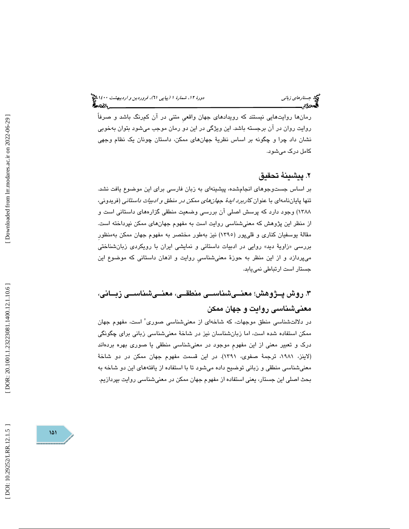رمانها روايتهايي نيستند كه رويدادهاي جهان واقعيِ متني در آن كمرنگ باشد و صرفاً روايت روان در آن برجسته باشد. اين ويژگي در اين دو رمان موجب ميشود بتوان بهخوبي نشان داد چرا و چگونه بر اساس نظريهٔ جهانهای ممکن، داستان چونان یک نظام وجهی كامل درك ميشود.

### . پيشينة تحقيق 2

بر اساس جستوجوهاي انجامشده، پيشينهاي به زبان فارسي براي اين موضوع يافت نشد. تنها پایاننامهای با عنوان *کاربرد ایدهٔ جهانهای ممکن در منطق و ادبیات داستانی* (فریدونی، 1388) وجود دارد كه پرسش اصلي آن بررسي وضعيت منطقي گزارههاي داستاني است و از منظر اين پژوهش كه معنيشناسي روايت است به مفهوم جهانهاي ممكن نپرداخته است. مقالة يوسفيان كناري و قليپور (1395) نيز بهطور مختصر به مفهوم جهان ممكن بهمنظورِ بررسي «زاويهٔ ديد» روايي در ادبيات داستاني و نمايشي ايران با رويکردی زبانشناختي ميپردازد و از اين منظر به حوزة معنيشناسيِ روايت و اذهان داستاني كه موضوع اين جستار است ارتباطي نمييابد.

# . روش پــژوهش؛ معنــيشناســي منطقــي، معنــي شناســي زبــاني، 3 معنيشناسي روايت و جهان ممكن

در دلالتشناسي منطق موجهات، كه شاخهاي از معنىشناسي صورى ْ است، مفهوم جهان ممكن استفاده شده است، اما زبانشناسان نيز در شاخة معنيشناسي زباني براي چگونگي درك و تعبير معني از اين مفهومِ موجود در معنيشناسي منطقي يا صوري بهره بردهاند (لاينز، ،1981 ترجمة صفوي، 1391 ). در اين قسمت مفهوم جهان ممكن در دو شاخة معنيشناسي منطقي و زباني توضيح داده ميشود تا با استفاده از يافتههاي اين دو شاخه به بحث اصلي اين جستار ، يعني استفاده از مفهوم جهان ممكن در معنيشناسي روايت بپردازيم.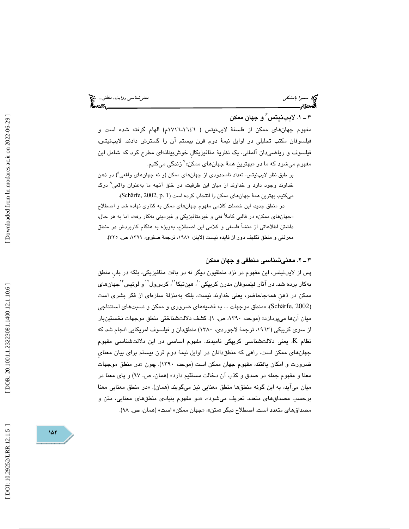سميرا بامشكي منطق... التي تعني من المشكل معني من المشكل من المشكل من المشكل من المشكل من المشكل من المشكل من ا<br>المصري معني معني معنى منطق المشكل من المشكل من المشكل من المشكل من المشكل من المشكل من المشكل من المشكل من الم

# 1 ـ 3 . لايبنيتس 6 و جهان ممكن

مفهوم جهانهای ممکن از فلسفهٔ لایبنیتس ( ۱۹۶۲ـ۱۷۱۲م) الهام گرفته شده است و فيلسوفان مكتب تحليلي در اوايل نيمة دوم قرن بيستم آن را گسترش دادند. لايبنيتس،  $^{\vee}$ زندگی میکنیم. فیلسوف و ریاضیںدان آلمانی، یک نظریهٔ متافیزیکال خوشبینانهای مطرح کرد که شامل این

بر طبق نظر لايبنيتس، تعداد نامحدودي از جهانهاي ممكن (و نه جهانهاي واقعي 8 ) در ذهن خداوند وجود دارد و خداوند از ميان اين ظرفيت، در خلق آنچه ما بهعنوان واقعي 9 درك ميكنيم، بهترين همة جهانهاي ممكن را انتخاب كرده است (Schärfe, 2002, p. 1).

ر منطق جديد، اين خصلت كلامي مفهوم جهانهاي ممكن به كناري نهاده شد و اصطلاح د «جهان $\lambda$ ای ممکن» در قالبی کاملاً فنی و غیرمتافیزیکی و غیردینی بهکار رفت، اما به هر حال، داشتن اطلاعاتي از منشأ فلسفي و كلامي اين اصطلاح، بهويژه به هنگام كاربردش در منطق معرفتي و منطق تكليف دور از فايده نيست (لاينز، ،1981 ترجمة صفوي، ،1391 ص. 325 ).

#### . 2ـ 3 معنيشناسي منطقي و جهان ممكن

پس از لايبنيتس، اين مفهوم در نزد منطقيون ديگر نه در بافت متافيزيكي، بلكه در بابِ منطق بهكار برده شد. در آثار فیلسوفان مدرن كریپكي ``، هینتیكا``، كرسول`` و لوئیس"`جهانهای ممكن در ذهنِ همهجاحاضر، يعني خداوند نيست، بلكه بهمنزلة سازهاي از فكر بشري است (Schärfe, 2002). «منطق موجهات … به قضيههاي ضروري و ممكن و نسبتهاي استنتاجي ميان آنها ميپردازد» (موحد، ،1390 ص. 1 ). كشف دلالتشناختي منطق موجهات نخستينبار از سوی کریپکی (۱۹٦۳، ترجمهٔ لاجوردی، ۱۳۸۰) منطقدان و فیلسوف امریکایی انجام شد که نظام K، يعني دلالتشناسي كريپكي ناميدند. مفهوم اساسي در اين دلالتشناسي مفهوم جهانهاي ممكن است. راهي كه منطقدانان در اوايل نيمة دوم قرن بيستم براي بيان معنايِ ضرورت و امکان یافتند، مفهوم جهان ممکن است (موحد، ۱۳۹۰). چون «در منطق موجهات معنا و مفهوم جمله در صدق و كذب آن دخالت مستقيم دارد» (همان، ص. 97) و پاي معنا در ميان ميآيد، به اين گونه منطقها منطق معنايي نيز ميگويند (همان). «در منطق معنايي معنا برحسب مصداقهاي متعدد تعريف ميشود». «دو مفهوم بنيادي منطقهاي معنايي، متن و مصداقهای متعدد است. اصطلاح دیگر «متن»، «جهان ممکن» است» (همان، ص. ۹۸).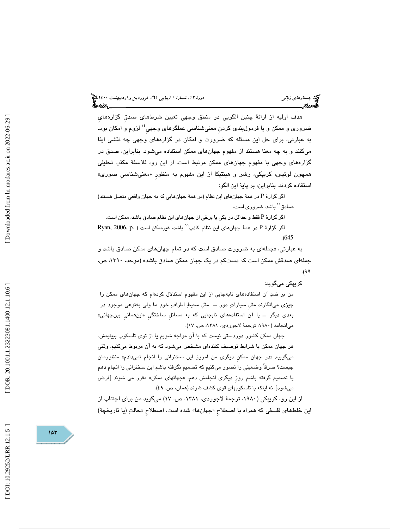هدف اوليه از ارائة چنين الگويي در منطق وجهي تعيين شرطهاي صدقِ گزارههايِ ضروري و ممكن و يا فرمولبندي كردن معنىشناسي عملگرهاي وجهي $^{\backprime \prime}$  لزوم و امكان بود. به عبارتي، براي حل اين مسئله كه ضرورت و امكان در گزاره هاي وجهي چه نقشي ايفا ميكنند و به چه معنا هستند از مفهوم جهانهاي ممكن استفاده ميشود. بنابراين، صدق در گزارههاي وجهي با مفهوم جهانهاي ممكن مرتبط است. از اين رو، فلاسفة مكتب تحليلي همچون لوئيس، كريپكي، رشر و هينتيكا از اين مفهوم به منظور «معنىشناسي صوری» استفاده كردند. بنابراين، بر پاية اين الگو:

اگر گزارهٔ P در همهٔ جهانهای این نظام (در همهٔ جهانهایی که به جهان واقعی متصل هستند) صادق<sup>°٬</sup> باشد، ضرو<u>ر</u>ی است.

اگر گزارهٔ P فقط و حداقل در یکی یا برخی از جهانهای این نظام صادق باشد، ممکن است.

اگر گزارهٔ P در همهٔ جهانای این نظام کاذب $'$  باشد، غیرممکن است ( .P P Pyan, 2006, p . (645

به عبارتی، «جملهای به ضرورت صادق است كه در تمام جهانهای ممكن صادق باشد و جملهاي صدقش ممكن است كه دست كم در يك جهان ممكن صادق باشد» (موحد، ،1390 ص.  $(\mathcal{A})$ .

كريپكي ميگويد:

من بر ضدِ آن استفادههاي نابهجايي از اين مفهوم استدلال كردهام كه جهانهاي ممكن را چيزي ميانگارند مثلِ سيارات دور ــ مثلِ محيط اطراف خود ما ولي بهنوعي موجود در بع*دی* دیگر ـــ یا ان استفادههای نابجاییِ که به مسائل ساختگیِ «اینهمانیِ بینجهانی» ميانجامد (،1980 ترجمة لاجوردي، 1381 ، ص. )17.

 جهان ممكن كشورِ دوردستي نيست كه با آن مواجه شويم يا از توي تلسكوپ ببينيمش. هر جهان ممكن با شرايط توصيف كنندهاي مشخص ميشود كه به آن مربوط ميكنيم. وقتي میگوییم «در جهان ممکن دیگری من امروز این سخنرانی را انجام نمیدادم» منظورمان چيست؟ صرفاً وضعيتي را تصور ميكنيم كه تصميم نگرفته باشم اين سخنراني را انجام دهم یا تصمیم گرفته باشم روز دیگری انجامش دهم. «جهانهای ممکن» مقرر می شوند [فرض میشود]، نه اینکه با تلسکوپهای قوی کشف شوند (همان، ص. ٤٩).

از اين رو، كريپكي ( ،1980 ترجمة لاجوردي، ،1381 ص. 17) ميگويد من براي اجتناب از اين خلطهاي فلسفي كه همراه با اصطلاح «جهانها» شده است، اصطلاح «حالتِ (يا تاريخچهٔ)

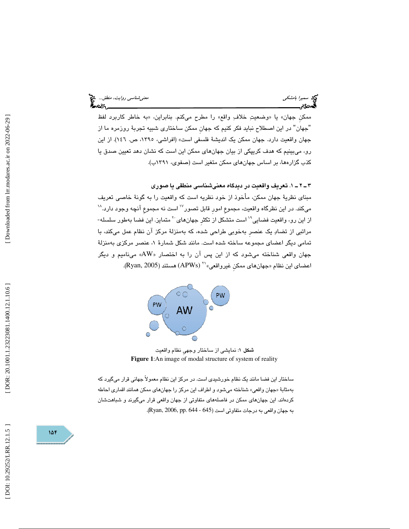ممكن جهان» يا «وضعيتِ خلافِ واقع» را مطرح ميكنم. بنابراين، «به خاطر كاربرد لفظ "جهان" در اين اصطلاح نبايد فكر كنيم كه جهان ممكن ساختاري شبيه تجربهٔ روزمره ما از جهان واقعيت دارد. جهان ممكن يك انديشة فلسفي است» (افراشي، ،1395 ص. 146). از اين رو، ميبينيم كه هدف كريپكي از بيان جهانهاي ممكن اين است كه نشان دهد تعيين صدق يا كذب گزارهها، بر اساس جهانهاي ممكن متغير است (صفوي، 1391 ب).

. 1ـ 2ـ 3 تعريف واقعيت در ديدگاه معنيشناسي منطقي يا صوري

مبناي نظرية جهان ممكن، مأخوذ از خود نظريه است كه واقعيت را به گونة خاصي تعريف میکند. در این نظرگاه واقعیت، مجموع امور قابل تصور<sup>۱۷</sup> است نه مجموع آنچه وجود دارد.<sup>۱۸</sup> از این رو، واقعیت فضایی<sup>۱۹</sup> است متشکل از تکثر جهانهای<sup>۲۰</sup> متمایز. این فضا بهطور سلسله- مراتبي از تضاد يك عنصرِ بهخوبي طراحي شده، كه بهمنزلة مركز آن نظام عمل ميكند، با تمامی دیگر اعضای مجموعه ساخته شده است. مانند شکل شمارهٔ ۱، عنصر مرکزی بهمنزلهٔ جهان واقعی شناخته میشود که از این پس آن را به اختصار «AW» مینامیم و دیگر اعضاي اين نظام «جهان هاي ممكن غيرواقعي» `` (APWs) هستند (Ryan, 2005).



شكل 1: نمايشي از ساختار وجهيِ نظام واقعيت **Figure 1**:An image of modal structure of system of reality

ساختار اين فضا مانند يك نظام خورشيدي است. در مركز اين نظام معمولاً جهاني قرار ميگيرد كه بهمثابهٔ «جهان واقعي» شناخته ميشود و اطراف اين مركز را جهانهاي ممكن همانند اقماري احاطه كردهاند. اين جهانهاي ممكن در فاصلههاي متفاوتي از جهان واقعي قرار ميگيرند و شباهتشان به جهان واقعي به درجات متفاوتي است (645 - 644 .Ryan, 2006, pp. 644).

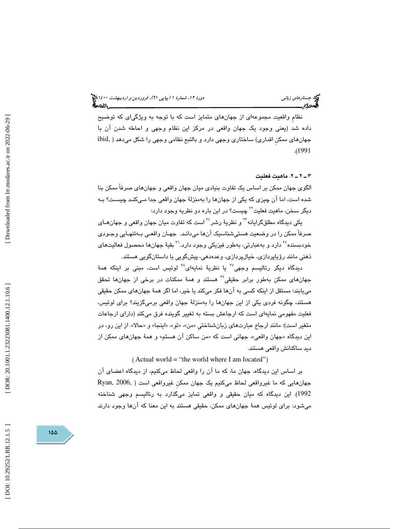نظامِ واقعيت مجموعهاي از جهانهاي متمايز است كه با توجه به ويژگياي كه توضيح داده شد (يعني وجود يك جهان واقعي در مركز اين نظام وجهي و احاطه شدن آن با جهانهاي ممكنِ اقماري) ساختاري وجهي دارد و بالتبع نظامي وجهي را شكل ميدهد ( ,ibid .( 1991

#### 2ـ 2ـ 3 . ماهيت فعليت

الگوي جهان ممكن بر اساس يك تفاوت بنيادي ميان جهان واقعي و جهانهاي صرفاً ممكن بنا شدها ست، اما آن چيزي كه يكي از جهانها را بهمنزلة جهان واقعي جدا مـي كنـد چيسـت؟ بـه ديگر سـخن، ماهيت فعليت<sup>۲۲</sup> چيست؟ در اين باره دو نظريه وجود دارد:

یکی دیدگاه مطلقگرایانه™ و نظریهٔ رشر<sup>۲٬</sup> است که تفاوت میان جهان واقعی و جهان*هـ*ای صرفاً ممكن را در وضعيت هستيشناسيك آنها ميدانـد. جهـان واقعـي بـه تنهـايي وجـودي خودبسنده<sup>۲۰</sup> دارد و بهعبارتي، بهطور فيزيكي وجود دارد.<sup>۲۰</sup> بقيهٔ جهانها محصول فعاليتهاي ذهني مانند رؤياپردازي، خيالپردازي، وعدهدهي، پيشگويي يا داستانگويي هستند.

دیدگاه دیگر رئالیسم وجهی<sup>۲۷</sup> یا نظریهٔ نمایهای<sup>۲۸</sup> لوئیس است، مبنی بر اینکه همهٔ جهانهای ممکن بهطور برابر حقیقی<sup>۲۹</sup> هستند و همهٔ ممکنات در برخی از جهانها تحقق مييابند؛ مستقل از اينكه كسي به آنها فكر ميكند يا خير، اما اگر همة جهانهاي ممكن حقيقي هستند، چگونه فردي يكي از اين جهانها را بهمنزلة جهان واقعي برميگزيند؟ براي لوئيس، فعليت مفهومي نمايهاي است كه ارجاعش بسته به تغيير گوينده فرق ميكند (داراي ارجاعات متغير است)؛ مانند ارجاع عبارتهاي زبانشناختي «من»، «تو»، «اينجا» و «حالا». از اين رو، در این دیدگاه «جهان واقعی»، جهانی است که «من ساکن ان هستم» و همهٔ جهانهای ممکن از ديد ساكنانش واقعي هستند .

 $($  Actual world = "the world where I am located")

بر اساس اين ديدگاه، جهان ما، كه ما آن را واقعي لحاظ ميكنيم، از ديدگاه اعضاي آن جهانهايي كه ما غيرواقعي لحاظ ميكنيم يك جهان ممكنِ غيرواقعي است ( 2006, ,Ryan 1992). اين ديدگاه كه ميان حقيقي و واقعي تمايز ميگذارد به رئاليسم وجهي شناخته ميشود: براي لوئيس همة جهانهاي ممكن، حقيقي هستند به اين معنا كه آنها وجود دارند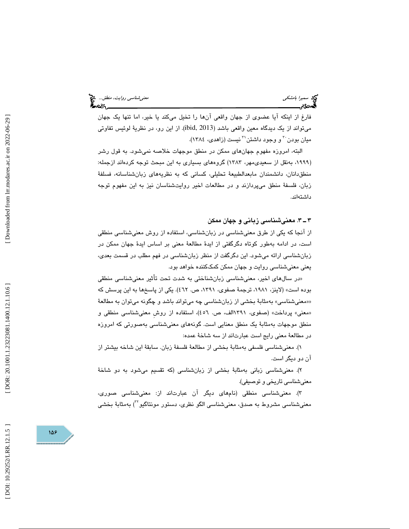فارغ از اينكه آيا عضوي از جهان واقعي آنها را تخيل ميكند يا خير، اما تنها يك جهان ميتواند از يك ديدگاه معين واقعي باشد (2013 ,ibid(. از اين رو، در نظرية لوئيس تفاوتي ميان بودن <sup>٢</sup> و وجود داشتن <sup>٣</sup> نيست (زا*هدي، ١٣٨٤*).

البته، امروزه مفهوم جهانهاي ممكن در منطق موجهات خلاصه نميشود. به قول رشر (۱۹۹۹، بەنقل از سعیدی،مهر، ۱۳۸۳) گروههای بسیاری به این مبحث توجه کردهاند ازجمله: منطق دانان، دانشمندان مابعدالطبيعهٔ تحليلي، كساني كه به نظريههاي زبانشناسانه، فسلفهٔ زبان، فلسفة منطق ميپردازند و در مطالعات اخير روايتشناسان نيز به اين مفهوم توجه داشتهاند.

#### . 3ـ 3 معنيشناسي زباني و جهان ممكن

 از آنجا كه يكي از طرق معنيشناسي در زبانشناسي، استفاده از روش معنيشناسي منطقي است، در ادامه بهطور كوتاه دگرگفتي از ايدة مطالعة معني بر اساس ايدة جهان ممكن در زبانشناسي ارائه ميشود. اين دگرگفت از منظر زبانشناسي در فهم مطلب در قسمت بعدي، يعني معنيشناسي روايت و جهان ممكن كمككننده خواهد بود.

در سالهاي اخير، معنيشناسي زبانشناختي به شدت تحت تأثير معنيشناسي منطقي » بوده است» (لاينز، ،1981 ترجمة صفوي، 1391 ، ص. 462). يكي از پاسخها به اين پرسش كه ««معنيشناسي به» مثابة بخشي از زبانشناسي چه ميتواند باشد و چگونه ميتوان به مطالعة «معني» پرداخت» (صفوي، ۱۳۹۱الف، ص. ٤٥٦)، استفاده از روش معنيشناسي منطقي و منطق موجهات بهمثابة يك منطق معنايي است. گونههاي معنيشناسي بهصورتي كه امروزه در مطالعة معني رايج است عبارتاند از سه شاخة عمده:

)1 . معنيشناسي فلسفي بهمثابة بخشي از مطالعة فلسفة زبان. سابقة اين شاخه بيشتر از آن دو ديگر است.

)2 . معنيشناسي زباني بهمثابة بخشي از زبانشناسي (كه تقسيم ميشود به دو شاخة معنيشناسي تاريخي و توصيفي).

)3 . معنيشناسي منطقي (نامهاي ديگر آن عبارتاند از: معنيشناسي صوري، معنیشناسی مشروط به صدق، معنیشناسی الگو نظری، دستور مونتاگیو <sup>۲۲</sup>) بهمثابهٔ بخشی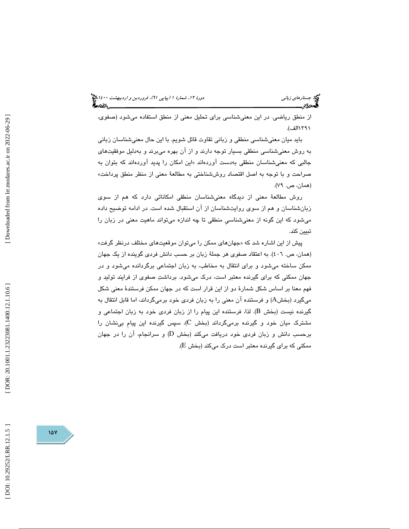#### جستار*هاي زباني هي المرديبهشت 1400 ه*ورو 11، شمارة 1 (پياپي 71)، فر*وردين و ارديبهشت 14*00 هج ?∽વડ,\_

از منطق رياضي. در اين معنيشناسي براي تحليل معني از منطق استفاده ميشود (صفوي، 1391الف).

بايد ميان معنيشناسي منطقي و زباني تقاوت قائل شويم. با اين حال معنيشناسان زباني به روش معنيشناسي منطقي بسيار توجه دارند و از آن بهره ميبرند و بهدليل موفقيتهاي جالبی که معنیشناسان منطقی بهدست اوردهاند «این امکان را پدید اوردهاند که بتوان به صراحت و با توجه به اصل اقتصاد روششناختي به مطالعة معني از منظر منطق پرداخت» (همان، ص. ۷۹).

روش مطالعة معني از ديدگاه معنيشناسان منطقي امكاناتي دارد كه هم از سوي زبانشناسان و هم از سوي روايتشناسان از آن استقبال شده است. در ادامه توضيح داده ميشود كه اين گونه از معنيشناسيِ منطقي تا چه اندازه ميتواند ماهيت معني در زبان را تبيين كند.

پیش از این اشاره شد که «جهانهای ممکن را میتوان موقعیتهای مختلف درنظر گرفت» (همان، ص. 406 ). به اعتقاد صفوي هر جملة زبان بر حسب دانش فردي گوينده از يك جهان ممكن ساخته ميشود و براي انتقال به مخاطب، به زبان اجتماعي برگردانده ميشود و در جهان ممكني كه براي گيرنده معتبر است، درك ميشود. برداشت صفوي از فرايند توليد و فهم معنا بر اساس شكل شمارة دو از اين قرار است كه در جهان ممكن فرستندة معني شكل میگیرد (بخشA) و فرستنده آن معنی را به زبان فردی خود برمیگرداند، اما قابل انتقال به گیرنده نیست (بخش B). لذا، فرستنده این پیام را از زبان فردی خود به زبان اجتماعی و مشترک میان خود و گیرنده برمیگرداند (بخش C)، سپس گیرنده این پیام بینشان را ) و سرانجام، آن را در جهان برحسب دانش و زبان فردي خود دريافت ميكند (بخش D ممکنی که برای گیرنده معتبر است درک میکند (بخش E).

DOI: 10.29252/LRR.12.1.5

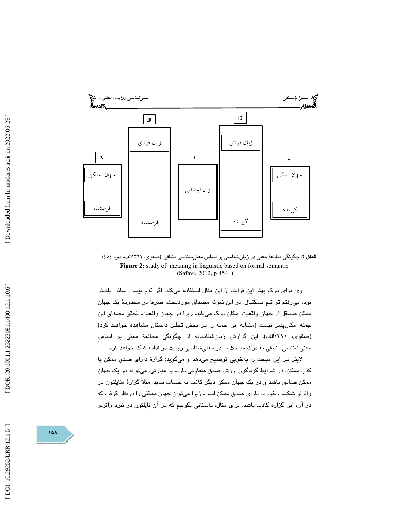

شكل 2: چگونگي مطالعة معني در زبانشناسي بر اساسِ معنيشناسي منطقي ( صفوي، 1391الف، ص. 454 ) **Figure 2:** study of meaning in linguistic based on formal semantic (Safavi, 2012, p.454 )

وي براي درك بهتر اين فرايند از اين مثال استفاده ميكند: اگر قدم بيست سانت بلندتر بود، ميرفتم تو تيم بسكتبال. در اين نمونه مصداق موردبحث، صرفاً در محدودة يك جهان ممكن مستقل از جهان واقعيت امكان درك مييابد، زيرا در جهان واقعيت، تحقق مصداق اين جمله امكانپذير نيست (مشابه اين جمله را در بخش تحليل داستان مشاهده خواهيد كرد) (صفوی، ١٣٩١الف). اين گزارش زبانشناسانه از چگونگي مطالعهٔ معني بر اساس معنيشناسي منطقي به درك مباحث ما در معنيشناسي روايت در ادامه كمك خواهد كرد.

لاينز نيز اين مبحث را بهخوبي توضيح ميدهد و ميگويد: گزارة داراي صدق ممكن يا كذب ممكن، در شرايط گوناگون ارزش صدق متفاوتي دارد. به عبارتي، ميتواند در يك جهان ممكن صادق باشد و در يک جهان ممكن ديگر كاذب به حساب بيايد، مثلاً گزارهٔ «ناپلئون در واترلو شكست خورد» داراي صدق ممكن است، زيرا ميتوان جهان ممكني را درنظر گرفت كه در آن، اين گزاره كاذب باشد. براي مثال، داستاني بگوييم كه در آن ناپلئون در نبرد واترلو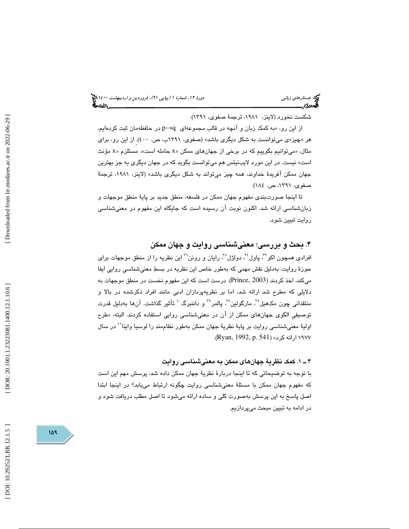شكست نخورد (لاينز، ،1981 ترجمة صفوي، 1391 ).

از این رو، «به کمک زبان و آنچه در قالب مجموعهای q→q در حافظهمان ثبت کردهایم، هر «چیز»ی میتوانست به شکل دیگری باشد» (صفوی، ۱۳۹۱ب، ص. ٤٠٠). از این رو، برای مثال، «میتوانیم بگوییم كه در برخی از جهانهای ممكن «x حامله است»، مستلزم «x مؤنث است» نيست. در اين مورد لايبنيتس هم ميتوانست بگويد كه در جهان ديگري به جز بهترين جهان ممكن آفريدة خداوند، همه چيز ميتواند به شكل ديگري باشد» (لاينز، ،1981 ترجمة صفوي، ،1391 ص. 184 ).

تا اينجا صورتبندي مفهوم جهان ممكن در فلسفه، منطق جديد بر پاية منطق موجهات و زبان شناسي ارائه شد. اكنون نوبت آن رسيده است كه جايگاه اين مفهوم در معنيشناسي روايت تبيين شود.

### . بحث و بررسي؛ معنيشناسي روايت و جهان ممكن 4

افرادي همچون اكو™، پاول"، دولژل°″، رايان و رونن™ اين نظريه را از منطق موجهات براي حوزة روايت، بهدليل نقش مهمي كه بهطور خاص اين نظريه در بسط معنيشناسيِ روايي ايفا ميكند، اخذ كردند (2003 ,Prince(. درست است كه اين مفهوم نخست در منطق موجهات به دلايلي كه مطرح شد ارائه شد، اما بر نظريهپردازان ادبي مانند افراد ذكرشده در بالا و منتقدانی چون مکـهـیلٌّ، مارگولینٌ<sup>۳</sup>، پالمر<sup>۳</sup> و داننبرگ ٔ تأثیر گذاشت. آنها بهدلیل قدرت توصيفي الگوي جهانِهاي ممكن از آن در معنيشناسي روايي استفاده كردند. البته، «طرح اوليهٔ معنىشناسي روايت بر پايهٔ نظريهٔ جهان ممكن بهطور نظاممند را لوسيا واينا<sup>٬۱</sup> در سال ۱۹۷۷ ارائه كرد» (Ryan, 1992, p. 541).

#### 1ـ 4 . كمك نظرية جهانهاي ممكن به معنيشناسي روايت

 با توجه به توضيحاتي كه تا اينجا دربارة نظرية جهان ممكن داده شد، پرسش مهم اين است كه مفهوم جهان ممكن با مسئلة معنيشناسي روايت چگونه ارتباط مييابد؟ در اينجا ابتدا اصل پاسخ به اين پرسش بهصورت كلي و ساده ارائه ميشود تا اصل مطلب دريافت شود و در ادامه به تبيين مبحث ميپردازيم.

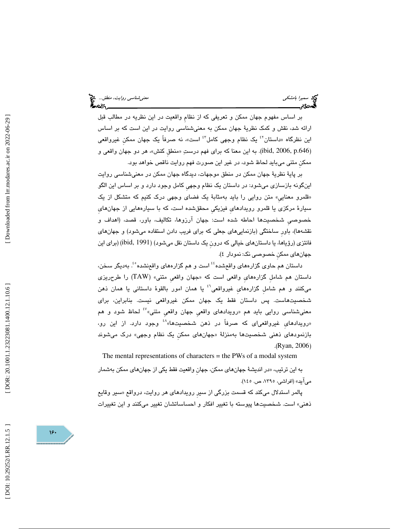بر اساس مفهوم جهان ممكن و تعريفي كه از نظامِ واقعيت در اين نظريه در مطالب قبل ارائه شد، نقش و كمك نظرية جهان ممكن به معنيشناسي روايت در اين است كه بر اساس این نظرگاه «داستان<sup>۲</sup> یک نظام وجهی کامل<sup>۶۲</sup> است»، نه صرفاً یک جهان ممکن غیرواقعی (ibid, 2006, p.646). به این معنا که برای فهم درستِ «منطق کنش»، هر دو جهان واقعی و ممكنِ متني ميبايد لحاظ شود، در غير اين صورت فهم روايت ناقص خواهد بود.

بر پاية نظرية جهان ممكن در منطق موجهات، ديدگاه جهان ممكن در معني شناسي روايت اينگونه بازسازي ميشود: در داستان يك نظام وجهيِ كامل وجود دارد و بر اساس اين الگو «قلمرو معنايي» متن روايي را بايد بهمثابهٔ يک فضای وجهی درک کنیم که متشکل از یک سيارة مركزي يا قلمرو رويدادهايِ فيزيكيِ محقق شده است، كه با سيارههايي از جهانهايِ خصوصيِ شخصيتها احاطه شده است: جهان آرزوها، تكاليف، باور، قصد، (اهداف و نقشهها)، باورِ ساختگي (بازنماييهاي جعلي كه براي فريب دادن استفاده ميشود) و جهانهاي فانتزی (رؤیاها، یا داستانهای خیالی که درون یک داستان نقل میشود) (ibid, 1991) (برای این جهانهاي ممكنِ خصوصي نك: نمودار )4.

داستان هم حاوي گزارههاي واقعشده<sup>؛؛</sup> است و هم گزارههاي واقعنشده°<sup>؛</sup>. بهديگر سخن، داستان هم شامل گزارههاي واقعي است كه «جهان واقعي متني» (TAW) را طرحريزي میكنند و هم شامل گزارههای غیرواقعی<sup>؟</sup> یا همان امور بالقوهٔ داستانی یا همان ذهن شخصيتهاست. پس داستان فقط يک جهان ممکن غيرواقعي نيست. بنابراين، براي معنيشناسي روايي بايد هم «رويدادهاي واقعي جهان واقعي متني» ُ لحاظ شود و هم «رویدادهای غیرواقعیای که صرفاً در ذهن شخصیتها»<sup>،،</sup> وجود دارد. از این رو، بازنمود*های* ذهنی شخصیتها بهمنزلهٔ «جهانِهای ممکن یک نظام وجهی» درک میشوند .(Ryan, 2006 )

The mental representations of characters = the PWs of a modal system

به اين ترتيب، «در انديشهٔ جهانِهاي ممكن، جهان واقعيت فقط يكي از جهانِهاي ممكن بهشمار ميآيد» (افراشي، ،1395 ص. 145 ).

پالمر استدلال میکند که قسمت بزرگی از سیر رویدادهای هر روایت، درواقع «سیر وقایع ذهني» است. شخصيتها پيوسته با تغيير افكار و احساساتشان تغيير مي كنند و اين تغييرات

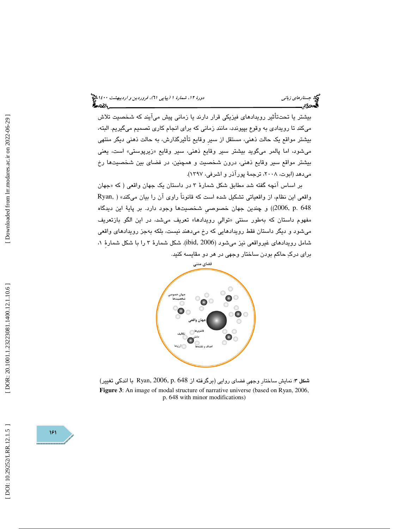بيشتر يا تحت تأثير رويدادهاي فيزيكي قرار دارند يا زماني پيش ميآيند كه شخصيت تلاش ميكند تا رويدادي به وقوع بپيوندد، مانند زماني كه براي انجام كاري تصميم ميگيريم. البته، بيشتر مواقع يك حالت ذهني، مستقل از سيرِ وقايع تأثيرگذارش، به حالت ذهني ديگر منتهي ميشود، اما پالمر ميگويد بيشتر سير وقايع ذهني، سير وقايع «زيرپوستي» است، يعني بيشتر مواقع سير وقايع ذهني، درون شخصيت و همچنين، در فضاي بين شخصيتها رخ ميدهد (ابوت، ٢٠٠٨، ترجمهٔ پورآذر و اشرفي، ١٣٩٧).

بر اساس انچه گفته شد مطابق شكل شمارهٔ ۳ در داستان یک جهان واقعی ( که «جهان واقعي اين نظام، از واقعياتي تشكيل شده است كه قانوناً راوي آن را بيان ميكند» ( ,Ryan 648 .p 2006, ((و چندين جهان خصوصيِ شخصيتها وجود دارد. بر پاية اين ديدگاه مفهوم داستان كه بهطور سنتي «توالي رويدادها» تعريف ميشد، در اين الگو بازتعريف ميشود و ديگر داستان فقط رويدادهايي كه رخ ميدهند نيست، بلكه بهجز رويدادهاي واقعي شامل رويدادهاي غيرواقعي نيز ميشود (2006 ,ibid(. شكل شمارة 3 را با شكل شمارةِ ، 1 براي درك حاكم بودن ساختار وجهي در هر دو مقايسه كنيد.



شكل ۳: نمايش ساختار وجهي فضاي روايي (برگرفته از Ryan, 2006, p. 648 با اندكي تغيير) **Figure 3**: An image of modal structure of narrative universe (based on Ryan, 2006, p. 648 with minor modifications)

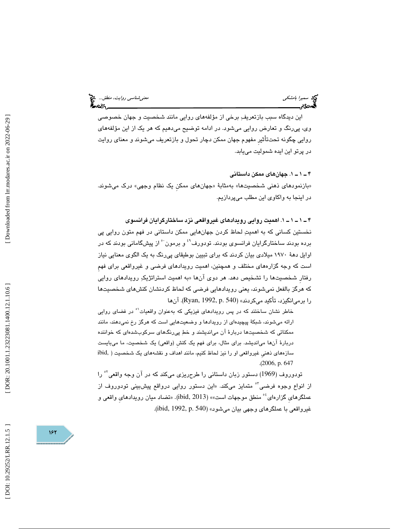اين ديدگاه سبب بازتعريف برخي از مؤلفههاي روايي مانند شخصيت و جهان خصوصي وي، پيرنگ و تعارض روايي ميشود. در ادامه توضيح ميدهيم كه هر يك از اين مؤلفههاي روايي چگونه تحتتأثيرِ مفهوم جهان ممكن دچار تحول و بازتعريف ميشوند و معناي روايت در پرتو اين ايده شموليت مييابد.

1ـ 1ـ 4 . جهانهاي ممكن داستاني «بازنمودهای ذهنی شخصیتها» بهمثابهٔ «جهانهای ممکن یک نظام وجهی» درک میشوند. در اينجا به واكاوي اين مطلب ميپردازيم.

1ـ 1ـ 1ـ 4 . اهميت روايي رويدادهاي غيرواقعي نزد ساختارگرايان فرانسوي نخستين كساني كه به اهميت لحاظ كردن جهانهايي ممكن داستاني در فهم متون روايي پي برده بودند ساختارگرایان فرانسوی بودند. تودورف<sup>٬٬</sup> و برمون<sup>۰</sup>ْ از پیشگامانی بودند که در اوايل دهة 1970 ميلادي بيان كردند كه براي تبيين بوطيقاي پيرنگبه يك الگوي معنايي نياز است كه وجه گزارههاي مختلف و همچنين، اهميت رويدادهاي فرضي و غيرواقعي براي فهمِ رفتارِ شخصيتها را تشخيص دهد. هر دوي آن «ها به اهميت استراتژيك رويدادهاي روايي كه هرگز بالفعل نميشوند، يعني رويدادهايي فرضي كه لحاظ كردنشان كنشهاي شخصيتها را برمي انگيزد، تأكيد ميكردند» (Ryan, 1992, p. 540). آنها

خاطر نشان ساختند كه در پس رويدادهاي فيزيكي كه بهعنوان واقعيات<sup>^</sup> در فضاي روايي ارائه ميشوند، شبكة پيچيدهاي از رويدادها و وضعيت هايي است كه هرگز رخ نميدهند، مانند ممكناتي كه شخصيتها دربارة آن ميانديشند و خط پيرنگهاي سركوب شدهاي كه خواننده دربارهٔ آنها ميانديشد. براي مثال، براي فهم يک کنش (واقعي) يک شخصيت، ما ميبايست سازههاي ذهنيِ غيرواقعي او را نيز لحاظ كنيم، مانند اهداف و نقشههاي يك شخصيت ( ,ibid .( 2006, p. 647

تودوروف (1969) دستور زبان داستاني را طرحريزي ميكند كه در آن وجه واقعي را <sup>52</sup> از انواع وجوه فرضى<sup>"ه</sup> متمايز مىكند. «اين دستور روايى درواقع پيشبيني تودوروف از عملگرهاي گزارهاي أ° منطق موجهات است،» (ibid, 2013). «تضاد ميان رويدادهاي واقعي و غيرواقعي با عملگرهاي وجهي بيان ميشود» (ibid, 1992, p. 540).



DOI: 10.29252/LRR.12.1.5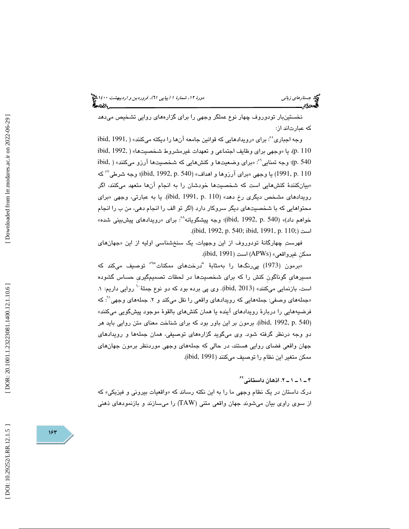نخستينبار تودوروف چهار نوع عملگر وجهي را براي گزارههاي روايي تشخيص ميدهد كه عبارتاند از:

: براي « رويدادهايي كه قوانين جامعه آنها را ديكته ميكنند» ( 1991, ,ibid <sup>55</sup> وجه اجباري ibid, 1992, ) يا «وجهى براي وظايف اجتماعي و تعهدات غيرمشروط شخصيتها» ( .1992 ,ibid ibid, ) وجه تمنايي<sup>\"م</sup>: «براي وضعيتها و كنشهايي كه شخصيتها آرزو ميكنند» ( ,ibid . یا وجهی «برای آرزوها و اهداف» (ibid, 1992, p. 540)؛ وجه شرطی $^{\circ\circ}$  که (ibid, 1992, p. 540)؛ «بیانکنندهٔ کنشهایی است که شخصیتها خودشان را به انجام انها متعهد میکنند، اگر رویدادهای مشخص دیگری رخ دهد» (ibid, 1991, p. 110). یا به عبارتی، وجهی «برای محتواهايي كه با شخصيتهاي ديگر سروكار دارد (اگر تو الف را انجام دهي، من ب را انجام خواهم داد)» (ibid, 1992, p. 540)؛ وجه پیشگویانه^ْ: برای «رویدادهای پیشبینی شده» .( ibid, 1992, p. 540; ibid, 1991, p. 110;) است

فهرستِ چهارگانهٔ تودوروف از اين وجهيات، يک سنخشناسي اوليه از اين «جهانهای ممكنِ غيرواقعي (» APWs (است ( 1991 ,ibid( .

«برمون (1973) پی $\,$ رنگها را بهمثابهٔ "درختهای ممکنات" $\,$ " توصیف میکند که مسيرهايِ گوناگونِ كنش را كه براي شخصيتها در لحظات تصميمگيريِ حساس گشوده است، بازنمایی میکنند» (ibid, 2013). وی پی برده بود که دو نوع جملهٔ <sup>۲۰</sup> روایی داریم: ۱. «جملههای وصفی: جملههایی که رویدادهای واقعی را نقل میکند و ۲. جملههای وجهی<sup>۰۲</sup>: که فرضيه هايي را دربارة رويدادهاي آينده يا همان كنشهاي بالقوة موجود پيشگويي ميكنند» (ibid, 1992, p. 540). برمون بر اين باور بود كه براي شناخت معناي متن روايي بايد هر دو وجه درنظر گرفته شود. وي ميگويد گزارههاي توصيفي، همان جمله ها و رويدادهاي جهان واقعي فضاي روايي هستند، در حالي كه جملههاي وجهي موردنظر برمون جهانهاي ممكن متغير اين نظام را توصيف ميكنند (1991 ,ibid( .

2 ـ 1 ـ 1 ـ 4 . اذهان داستاني 62

درک داستان در یک نظام وجهی ما را به این نکته رساند که «واقعیات بیرونی و فیزیکی» که از سوي راوي بيان ميشوند جهان واقعي متني (TAW (را ميسازند و بازنمودهاي ذهني

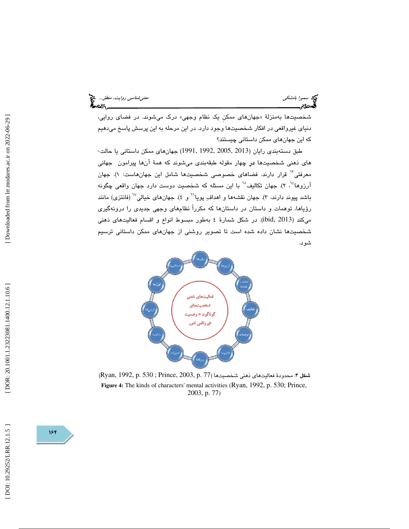شخصيتها بهمنزلة « جهانهاي ممكنِ يك نظام وجهي» درك ميشوند. در فضاي روايي، دنياي غيرواقعي در افكار شخصيتها وجود دارد.در اين مرحله به اين پرسش پاسخ ميدهيم كه اين جهانهاي ممكن داستاني چيستند؟

طبق دستهبندي رايان (2013 2005, 1992, 1991,) جهانهاي ممكن داستاني يا حالت- هاي ذهني شخصيتها در چهار مقوله طبقهبندي ميشوند كه همة آنها پيرامون جهان ي معرفتی<sup>™</sup> قرار دارند. فضاهای خصوصی شخصیتها شامل این جهانهاست: ۱). جهان آرزوها<sup>، ۲</sup>، ۲). جهان تکالیف<sup>°٦</sup> با این مسئله که شخصیت دوست دارد جهان واقعی چگونه باشد پیوند دارند، ۳). جهان نقشهها و اهدافِ پویا<sup>٦٦</sup> و ٤). جهانهای خیالی<sup>٦٧</sup> (فانتزی) مانند ؤياها، توهمات و داستان در داستانها كه مكرراً نظامهاي وجهي جديدي را درونهگيري ر ميكند (2013 ,ibid(. در شكل شمارة به 4 طور مبسوط انواع و اقسام فعاليتهاي ذهني شخصيتها نشان داده شده است تا تصوير روشني از جهانهاي ممكن داستاني ترسيم شود.



 $\left(\rm{Ryan},\,1992,\,p.\,530\,;\,Prince,\,2003,\,p.\,77\right)$  شكل ۴: محدودهٔ فعاليتهاي ذهني شخصيتها **Figure 4:** The kinds of characters' mental activities (Ryan, 1992, p. 530; Prince, 2003, p. 77)

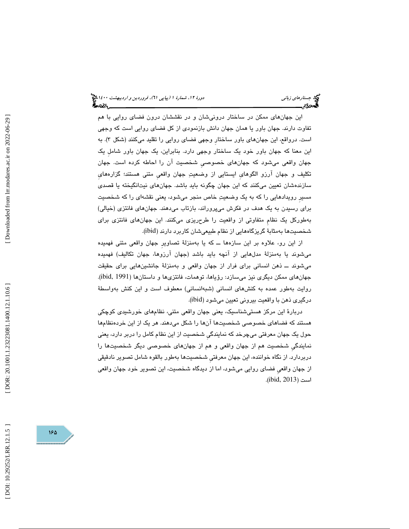اين جهانهاي ممكن در ساختار درونيشان و در نقششان درون فضاي روايي با هم ب تفاوت دارند. جهان اور يا همان جهان دانش بازنمودي از كل فضاي روايي است كه وجهي است. درواقع، این جهانِهای باور ساختار وجهی فضای روایی را تقلید میکنند (شکل ۳). به اين معنا كه جهان باور خود يك ساختار وجهي دارد. بنابراين، يك جهان باور شاملِ يك جهان واقعی میشود که جهانهای خصوصی شخصیت آن را احاطه کرده است. جهان تكليف و جهان آرزو الگوهايِ ايستايي از وضعيت جهان واقعيِ متني هستند؛ گزارههايِ سازندهشان تعيين ميكنند كه اين جهان چگونه بايد باشد. جهانهاي نيتانگيخته يا قصدي مسيرِ رويدادهايي را كه به يك وضعيت خاص منجر ميشود ، يعني نقشهاي را كه شخصيت براي رسيدن به يك هدف در فكرش ميپروراند، بازتاب ميدهند. جهانهاي فانتزي (خيالي) بهطوركل يك نظامِ متفاوتي از واقعيت را طرحريزي ميكنند. اين جهانهاي فانتزي براي شخصیتها بهمثابهٔ گریزگاههایی از نظام طبیعیشان کاربرد دارند (ibid).

از اين رو، علاوه بر اين سازه ها ــ كه يا بهمنزلة تصاويرِ جهان واقعي متني فهميده ميشوند يا بهمنزلة مدلهايي از آنچه بايد باشد (جهان آرزوها، جهان تكاليف) فهميده ميشوند ــ ذهن انساني براي فرار از جهان واقعي و بهمنزلة جانشينهايي براي حقيقت جهانهاي ممكن ديگري نيز ميسازد: رؤياها، توهمات، فانتزيها و داستانها (1991 ,ibid(. روايت بهطور عمده به كنشهاي انساني (شبهانساني) معطوف است و اين كنش بهواسطة درگيري ذهن با واقعيت بيروني تعيين ميشود (ibid( .

دربارة اين مركز هستيشناسيك ، يعني جهان واقعي متني، نظامهاي خورشيدي كوچكي هستند كه فضاهاي خصوصي شخصيتها آنها را شكل مي دهند. هر يك از اين خردهنظامها حول يك جهان معرفتي ميچرخد كه نمايندگيِ شخصيت از اين نظام كامل را دربر دارد، يعني نمايندگيِ شخصيت هم از جهان واقعي و هم از جهانهاي خصوصي ديگر شخصيتها را دربردارد. از نگاه خواننده، اين جهان معرفتيِ شخصيتها بهطور بالقوه شامل تصوير نادقيقي از جهان واقعيِ فضاي روايي ميشود، اما از ديدگاه شخصيت، اين تصوير خود جهان واقعي است (2013 ,ibid( .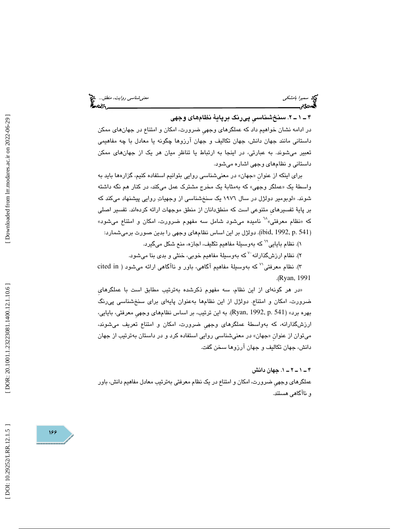#### . 2 ـ 1 ـ 4 سنخشناسيِ پيرنگ برپاية نظامهاي وجهي

در ادامه نشان خواهيم داد كه عملگرهاي وجهيِ ضرورت، امكان و امتناع در جهانهاي ممكن داستاني مانند جهان دانش، جهان تكاليف و جهان آرزوها چگونه يا معادل با چه مفاهيمي تعبير مي شوند. به عبارتي، در اينجا به ارتباط يا تناظرِ ميان هر يك از جهانهاي ممكن داستاني و نظامهاي وجهي اشاره ميشود.

برای اینکه از عنوان «جهان» در معنیشناسی روایی بتوانیم استفاده کنیم، گزارهها باید به واسطهٔ یک «عملگر وجهی» که بهمثابهٔ یک مخرج مشترک عمل میکند، در کنار هم نگه داشته شوند. «لوبومير دولژل در سال ۱۹۷۲ يک سنخشناسی از وجهياتِ روايی پيشنهاد میکند که بر پایهٔ تفسیرهایِ متنوعی است که منطقدانان از منطق موجهات ارائه کردهاند. تفسیر اصلی<br>که «نظام معرفتی»<sup>۲۸</sup> نامیده میشود شامل سه مفهوم ضرورت، امکان و امتناع میشود» (ibid, 1992, p. 541). دولژل بر این اساس نظامهای وجهی را بدین صورت برمیشمارد:

۱). نظام بایایی<sup>۲۹</sup> که بهوسیلهٔ مفاهیم تکلیف، اجازه، منع شکل میگیرد.

۲). نظام ارزشگذارانه َ<sup>۷</sup> که بهوسیلهٔ مفاهیم خوبی، خنثی و بدی بنا میشود.

۳). نظام معرفتی<sup>٬٬</sup> که بهوسیلهٔ مفاهیم آگاهی، باور و ناآگاهی ارائه میشود ( cited in (Ryan, 1991).

«در هر گونهای از این نظام، سه مفهوم ذکرشده بهترتیب مطابق است با عملگرهای ضرورت، امكان و امتناع. دولژل از اين نظامها بهعنوان پايهاي براي سنخشناسي پيرنگ بهره برد» (541 .p 1992, ,Ryan( . به اين ترتيب ، بر اساس نظامهاي وجهيِ معرفتي، بايايي، ارزشگذارانه، كه بهواسطة عملگرهاي وجهيِ ضرورت، امكان و امتناع تعريف ميشوند ، میتوان از عنوان «جهان» در معنیشناسی روایی استفاده کرد و در داستان بهترتیب از جهان دانش، جهان تكاليف و جهان آرزوها سخن گفت.

. 1 ـ 2 ـ 1 ـ 4 جهان دانش

عملگرهاي وجهيِ ضرورت، امكان و امتناع در يك نظام معرفتي به ترتيب معادل مفاهيم دانش، باور و ناآگاهي هستند.

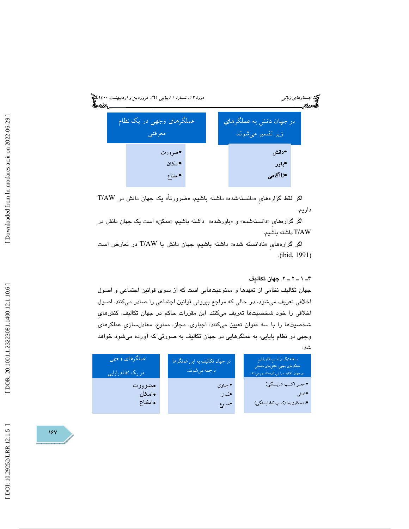

اگر فقط گزارههای «دانستهشده» داشته باشیم، «ضرورتاً» یک جهان دانش در T/AW داريم.

اگر گزارههای «دانستهشده» و «باورشده» داشته باشیم، «ممکن» است یک جهان دانش در AW/T داشته باشيم.

اگر گزارههای «نادانسته شده» داشته باشیم، جهان دانش با T/AW در تعارض است .( ibid, 1991 )

#### ۴ـ ۱ ــ ۲ ــ ۲. جهان تكاليف

جهان تكاليف نظامي از تعهدها و ممنوعيتهايي است كه از سوي قوانين اجتماعي و اصول اخلاقي تعريف مي شود، در حالي كه مراجع بيروني قوانين اجتماعي را صادر ميكنند. اصول اخلاقي را خود شخصيتها تعريف ميكنند. اين مقررات حاكم در جهان تكاليف، كنشهايِ شخصيتها را با سه عنوان تعيين ميكنند: اجباري، مجاز، ممنوع. معادلسازي عملگرهاي وجهي در نظام بايايي، به عملگرهايي در جهان تكاليف به صورتي كه آورده ميشود خواهد شد:

| عملگرهای وجهی<br>در یک نظام بایایی | در جهان تكاليف به اين عملگرها<br><mark>ا ترجمه میشوند:</mark> | أنسخه دبكر از تفسير نظام بابابي<br>عملكرهاي وجهيء كنشرهاي داستاني<br>.<br>در جهان نکلیف را این گونه نقسیم میکند: <mark>.</mark> |
|------------------------------------|---------------------------------------------------------------|---------------------------------------------------------------------------------------------------------------------------------|
| ∙ضرورت                             | •اجبارى                                                       | • معتبر (كسب شابستگي)                                                                                                           |
| •امكان                             | •مُجاز                                                        | • حنثى                                                                                                                          |
| وامتناع                            | •ممنوع                                                        | •بدهكاريها (كسب ناشايستگي)                                                                                                      |
|                                    |                                                               |                                                                                                                                 |

187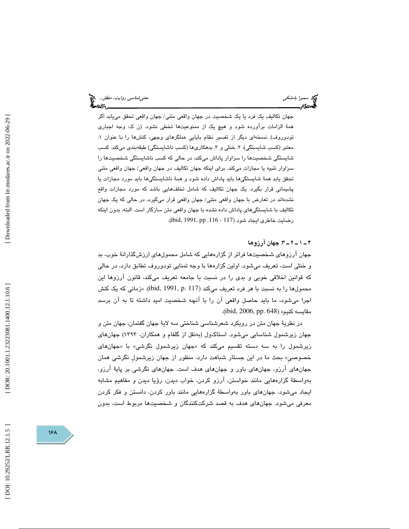جهان تكاليف يك فرد يا يك شخصيت در جهان واقعي متني/ جهان واقعي تحقق مييابد اگر همة الزامات برآورده شود و هيچ يك از ممنوعيتها تخطي نشود. (ن ك: وجه اجباري تودوروف). نسخهاي ديگر از تفسيرِ نظام باياييِ عملگرهاي وجهي، كنشها را با عنوان . 1 معتبر (كسب شايستگي)، ۲. خنثي و ۳. بدهكارىها (كسب ناشايستگي) طبقهبندي ميكند. كسب شايستگي شخصيتها را سزاوار پاداش ميكند، در حالي كه كسب ناشايستگي شخصيتها را سزاوار تنبيه يا مجازات ميكند. براي اينكه جهان تكاليف در جهان واقعي/ جهان واقعي متني تحقق يابد همة شايستگيها بايد پاداش داده شود و همة ناشايستگيها بايد مورد مجازات يا پشيماني قرار بگيرد. يك جهان تكاليف كه شامل تخلفهايي باشد كه مورد مجازات واقع نشدهاند در تعارض با جهان واقعي متني/ جهان واقعي قرار ميگيرد، در حالي كه يك جهان تكاليف با شايستگيهايِ پاداش داده نشده با جهان واقعي متن سازگار است . البته ، بدون اينكه رضايت خاطري ايجاد شود (117 - 116. pp ,116).

. 3 ـ 2 ـ 1 ـ 4 جهان آرزوها

جهان آرزوهای شخصیتها فراتر از گزارههایی که شامل محمول۵ای ارزشگذارانهٔ خوب، بد و خنثي است، تعريف ميشود. اولين گزارهها با وجه تمنايي تودوروف تطابق دارد، در حالي كه قوانين اخلاقي خوبي و بدي را در نسبت با جامعه تعريف ميكند، قانون آرزوها اين محمولها را به نسبت با هر فرد تعريف ميكند (117 .p 1991, ,ibid(» . زماني كه يك كنش اجرا ميشود، ما بايد حاصلِ واقعي آن را با آنچه شخصيت اميد داشته تا به آن برسد مقايسه كنيم» (ibid, 2006, pp. 648).

در نظرية جهان متن در رويكرد شعرشناسي شناختي سه لاية جهان گفتمان، جهان متن و جهان زيرشمول شناسايي ميشود. استاك ول (بهنقل از گلفام و همكاران، 1393 ) جهانهاي زيرشمول را به سه دسته تقسيم میکند که «جهان زيرشمول نگرشی» با «جهان*ه*ا*ی* خصوصيِ» بحث ما در اين جستار شباهت دارد. منظور از جهان زيرشمولِ نگرشي همان جهانهاي آرزو، جهانهاي باور و جهانهاي هدف است. جهانهاي نگرشي بر پاية آرزو، بهواسطة گزارههايي مانند خواستن، آرزو كردن، خواب ديدن، رؤيا ديدن و مفاهيم مشابه ايجاد ميشود. جهانهاي باور بهواسطة گزارههايي مانند باور كردن، دانستن و فكر كردن معرفي مي شود. جهان هاي هدف به قصد شركتكنندگان و شخصيتها مربوط است، بدون

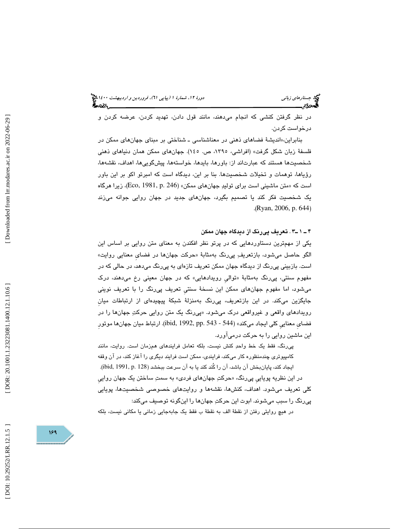جستار*هاي زباني هي المرديبهشت 1400 ه*ورو 11، شمارة 1 (پياپي 71)، فر*وردين و ارديبهشت 14*00 هج

 در نظر گرفتن كنشي كه انجام ميدهند ، مانند قول دادن، تهديد كردن، عرضه كردن و درخواست كردن.

بنابراین،«اندیشهٔ فضاهای ذهنی در معناشناسی ـ شناختی بر مبنای جهانهای ممکن در فلسفة زبان شكل گرفت» (افراشي، ،1395 ص. 145). جهانهاي ممكن همان دنياهاي ذهني شخصيتها هستند كه عبارتاند از: باورها، بايدها، خواستهها، پيشگوييها، اهداف، نقشهها، رؤياها، توهمات و تخيلات شخصيتها. بنا بر اين، ديدگاه است كه امبرتو اكو بر اين باور است كه «متن ماشینی است برای تولیدِ جهانهای ممكن» (Eco, 1981, p. 246)، زیرا هرگاه يك شخصيت فكر كند يا تصميم بگيرد، جهانهاي جديد در جهان روايي جوانه ميزند .( Ryan, 2006, p. 644 )

#### 3ـ 1 ـ 4 . تعريف پيرنگ از ديدگاه جهان ممكن

يكي از مهمترين دستاوردهايي كه در پرتو نظر افكندن به معناي متن روايي بر اساس اين الگو حاصل میشود، بازتعريفِ پیِرنگ بهمثابهٔ «حرکت جهانِها در فضای معنایی روایت» است. بازبيني پيرنگ از ديدگاه جهان ممكن تعريف تازهاي به پيرنگ ميدهد ، در حالي كه در مفهوم سنتي، پيرنگ بهمثابهٔ «توالي رويدادهايي» كه در جهان معيني رخ ميدهند، درک ميشود، اما مفهوم جهانهاي ممكن اين نسخة سنتيِ تعريف پيرنگ را با تعريف نويني جايگزين ميكند. در اين بازتعريف، پي رنگ بهمنزلهٔ شبكهٔ پيچيدهای از ارتباطات ميان رویدادهای واقعی و غیرواقعی درک میشود. «پی $_2$ رنگ یک متن روایی حرکتِ جهانها را در فضايِ معناييِ كلي ايجاد ميكند» (544 - 543 .pp 1992, ,ibid(. ها ارتباط ميان جهان موتورِ اين ماشين روايي را به حركت درميآورد.

پیرنگ، فقط یک خط واحدِ کنش نیست، بلکه تعامل فرایندهای همزمان است. روایت، مانند كامپيوتري چندمنظوره كار ميكند، فرايندي، ممكن است فرايند ديگري را آغاز كند، در آن وقفه ایجاد کند، پایانبخش آن باشد، آن را کُند کند یا به آن سرعت ببخشد (ibid, 1991, p. 128). در اين نظريه پويايي پيرنگ، «حرکتِ جهانهای فردی» به سمتِ ساختن یک جهان رواییِ كلي تعريف ميشود. اهداف، كنشها، نقشهها و روايتهاي خصوصي شخصيت ها، پويايي پيرنگ را سبب ميشوند. ابوت اين حركت جهانها را اينگونه توصيف ميكند:

در هيچ روايتي رفتن از نقطة الف به نقطة ب فقط يك جابهجايي زماني يا مكاني نيست، بلكه

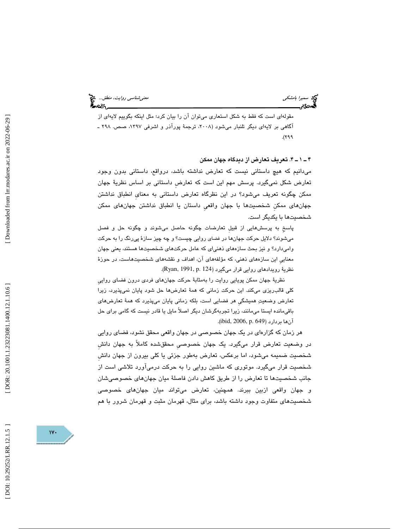مقولهاي است كه فقط به شكل استعاري ميتوان آن را بيان كرد؛ مثل اينكه بگوييم لايهاي از اگاهی بر لایهای دیگر تلنبار میشود (۲۰۰۸، ترجمهٔ پوراذر و اشرفی ۱۳۹۷، صص. ۲۹۸ ـ  $.$  (  $799$ 

4 ـ 1 ـ 4 . تعريف تعارض از ديد گاه جهان ممكن ميدانيم كه هيچ داستاني نيست كه تعارض نداشته باشد، درواقع، داستاني بدون وجود تعارض شكل نمي گيرد. پرسش مهم اين است كه تعارضِ داستاني بر اساس نظرية جهان ممكن چگونه تعريف ميشود؟ در اين نظرگاه تعارض داستاني به معنايِ انطباق نداشتن جهانهاي ممكنِ شخصيتها با جهان واقعيِ داستان يا انطباق نداشتن جهانهاي ممكن شخصيتها با يكديگر است.

پاسخِ به پرسشهايي از قبيلِ تعارضات چگونه حاصل ميشوند و چگونه حل و فصل ميشوند؟ دلايل حركت جهانها در فضاي روايي چيست؟ و چه چيز سازة پيرنگ را به حركت واميدارد؟ و نيز بحث سازههاي ذهنياي كه عامل حركتهاي شخصيتها هستند، يعني جهان معناييِ يا ن سازههاي ذهني، كه مؤلفههاي آن، اهداف و نقشههاي شخصيتهاست ، در حوزة نظرية رويدادهاي روايي قرار ميگيرد (124 .Ryan, 1991, p. 124).

نظرية جهان ممكن پويايي روايت را بهمثابة حركت جهانهاي فردي درون فضاي روايي كلي قالبريزي ميكند. اين حركت زماني كه همة تعارضها حل شود پايان نميپذيرد، زيرا تعارض وضعيت هميشگيِ هر فضايي است، بلكه زماني پايان ميپذيرد كه همة تعارضهاي باقيمانده ايستا ميمانند، زيرا تجربهگرشان ديگر اصلاً مايل يا قادر نيست كه گامي براي حل آنها بردارد (649 .jbid, 2006, p.

 هر زمان كه گزارهاي در يك جهان خصوصي در جهان واقعي محقق نشود، فضاي روايي در وضعيت تعارض قرار مي گيرد. يك جهان خصوصيِ محققشده كاملاً به جهان دانشِ شخصيت ضميمه ميشود، اما برعكس، تعارض بهطور جزئي يا كلي بيرون از جهان دانشِ شخصيت قرار ميگيرد. موتوري كه ماشين روايي را به حركت در ميآورد تلاشي است از جانب شخصيتها تا تعارض را از طريق كاهش دادن فاصلة ميان جهانهاي خصوصيشان و جهان واقعي ازبين ببرند. همچنين ، تعارض ميتواند ميان جهانهاي خصوصي شخص يتهاي متفاوت وجود داشته باشد، براي مثال، قهرمان مثبت و قهرمان شرور با هم

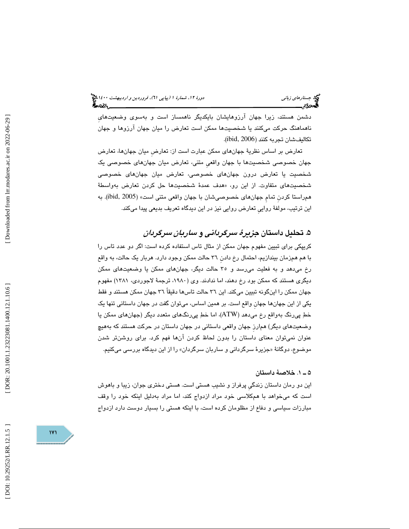دشمن هستند ، زيرا جهان آرزوهايشان بايكديگر ناهمساز است و بهسوي وضعيتهايِ ناهماهنگ حركت ميكنند يا شخصيتها ممكن است تعارض را ميان جهان آرزوها و جهان تكاليفشان تجربه كنند (2006 ,ibid( .

تعارض بر اساس نظرية جهانهاي ممكن عبارت است از: تعارضِ ميان جهانها، تعارض جهان خصوصي شخصيتها با جهان واقعيِ متني، تعارض ميان جهانهاي خصوصي يك شخصيت يا تعارض درون جهانهاي خصوصي، تعارض ميان جهانهاي خصوصي شخصیتهای متفاوت. از این رو، «هدف عمدهٔ شخصیتها حل کردن تعارض بهواسطهٔ همراستا كردنِ تمامِ جهانهاي خصوصيشان با جهان واقعي متني است (» 2005 ,ibid(. به اين ترتيب، مولفة رواييِ تعارض روايي نيز در اين ديدگاه تعريف بديعي پيدا ميكند.

## ۵. تحلیل داستان *جزیرهٔ سرگردانی و ساربان سرگردان*

كريپكي براي تبيين مفهوم جهان ممكن از مثال تاس استفاده كرده است: اگر دو عدد تاس را با هم همزمان بيندازيم، احتمال رخ دادنِ 36 حالت ممكن وجود دارد. هربار يك حالت، به واقع رخ ميدهد و به فعليت ميرسد و 35 حالت ديگر، جهانهاي ممكن يا وضعيتهاي ممكن ديگري هستند كه ممكن بود رخ دهند، اما ندادند. ( وي ،1980 ترجمة لاجوردي، 1381 ) مفهوم جهان ممكن را اينگونه تبيين ميكند. اين 36 حالت تاسها دقيقاً 36 جهان ممكن هستند و فقط يكي از اين جهانها جهانِ واقع است. بر همين اساس ، ميتوان گفت در جهان داستاني تنها يك خط پيرنگ بهواقع رخ ميدهد (ATW(، اما خط پيرنگهاي متعدد ديگر (جهانهاي ممكن يا وضعيتهاي ديگر) همارزِ جهان واقعي داستاني در جهان داستان در حركت هستند كه بههيچ عنوان نميتوان معناي داستان را بدون لحاظ كردن آنها فهم كرد. براي روشنتر شدن موضوع، دوگانهٔ «جزيرهٔ سرگردانی و ساربان سرگردان» را از اين ديدگاه بررس*ی* میکنيم.

#### 1 ـ 5 . خلاصة داستان

اين دو رمان داستان زندگيِ پرفراز و نشيب هستي است. هستي دختري جوان، زيبا و باهوش است كه ميخواهد با همكلاسي خود مراد ازدواج كند، اما مراد بهدليل اينكه خود را وقف مبارزات سياسي و دفاع از مظلومان كرده است، با اينكه هستي را بسيار دوست دارد ازدواج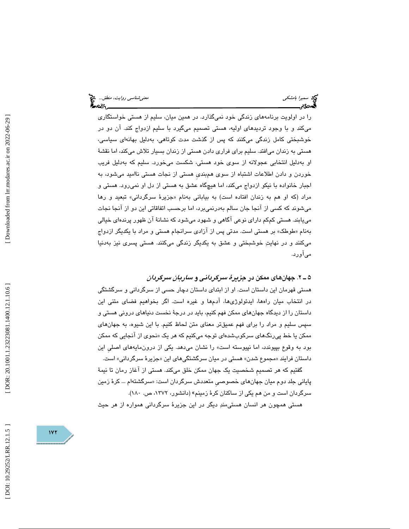را در اولويت برنامههاي زندگي خود نميگذارد. در همين ميان، سليم از هستي خواستگاري ميكند و با وجود ترديدهاي اوليه، هستي تصميم ميگيرد با سليم ازدواج كند. آن دو در خوشبختي كامل زندگي ميكنند كه پس از گذشت مدت كوتاهي، بهدليل بهانهاي سياسي، هستي به زندان ميافتد. سليم براي فراري دادن هستي از زندان بسيار تلاش ميكند، اما نقشة او بهدليل انتخابي عجولانه از سوي خود هستي، شكست ميخورد. سليم كه بهدليل فريب خوردن و دادن اطلاعات اشتباه از سوي همبنديِ هستي از نجات هستي نااميد ميشود، به اجبار خانواده با نيكو ازدواج ميكند، اما هيچگاه عشق به هستي از دل او نميرود. هستي و مراد (كه او هم به زندان افتاده است) به بياباني بهنام «جزيرهٔ سرگرداني» تبعيد و رها ميشوند كه كسي از آنجا جان سالم بهدرنميبرد، اما برحسب اتفاقاتي اين دو از آنجا نجات مييابند. هستي كمكم داراي نوعي آگاهي و شهود ميشود كه نشانة آن ظهور پرندهاي خيالي طوطك» بر هستي است. مدتي پس از آزادي سرانجام هستي و مراد با يكديگر ازدواج بهنام « ميكنند و در نهايت خوشبختي و عشق به يكديگر زندگي ميكنند. هستي پسري نيز بهدنيا ميآورد.

#### 2 ـ 5 . جهانهاي ممكن در جزيرة سرگرداني و ساربان سرگردان

هستي قهرمان اين داستان است. او از ابتداي داستان دچار حسي از سرگرداني و سرگشتگي در انتخاب ميان راهها، ايدئولوژيها، آدمها و غيره است. اگر بخواهيم فضاي متني اين داستان را از ديدگاه جهانهاي ممكن فهم كنيم، بايد در درجة نخست دنياهاي دروني هستي و سپس سليم و مراد را براي فهم عميقتر معناي متن لحاظ كنيم. با اين شيوه، به جهانهاي ممکن یا خط پی٫رنگهای سرکوبشدهای توجه میکنیم که هر یک «نحوی از انجایی که ممکن بود به وقوع بپيوندد، اما نپيوسته است» را نشان ميدهد. يكي از درون مايههاي اصلي اين داستان فرايند «مجموع شدن» هستي در ميان سرگشتگيهاي اين «جزيرهٔ سرگرداني» است.

گفتيم كه هر تصميمِ شخصيت يك جهان ممكن خلق ميكند. هستي از آغاز رمان تا نيمة پایانی جلد دوم میان جهانهای خصوصی متعددش سرگردان است: «سرگشتهام … کرهٔ زمین سرگردان است و من هم یکی از ساکنان کرهٔ زمینم» (دانشور، ۱۳۷۲، ص. ۱۸۰).

هستي همچون هر انسان هستيمند ديگر در اين جزيرة سرگرداني همواره از هر حيث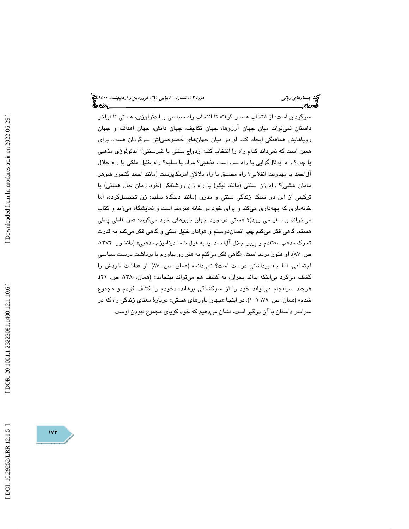سرگردان است: از انتخاب همسر گرفته تا انتخاب راه سياسي و ايدئولوژي، هستي تا اواخر داستان نميتواند ميان جهان آرزوها، جهان تكاليف، جهان دانش، جهان اهداف و جهان روياهايش هماهنگي ايجاد كند. او در ميان جهانهاي خصوصياش سرگردان هست. براي همين است كه نميداند كدام راه را انتخاب كند: ازدواج سنتي يا غيرسنتي؟ ايدئولوژي مذهبي يا چپ؟ راه ايدئالگرايي يا راه سرراست مذهبي؟ مراد يا سليم؟ راه خليل ملكي يا راه جلال آلاحمد يا مهدويت انقلابي؟ راه مصدق يا راه دلالانِ امريكاپرست (مانند احمد گنجور شوهر مامان عشي)؟ راه زن سنتي (مانند نيكو) يا راه زن روشنفكر (خود زمان حال هستي) يا تركيبي از اين دو سبك زندگيِ سنتي و مدرن (مانند ديدگاه سليم: زن تحصيلكرده ، اما خانهداري كه بچهداري ميكند و براي خود در خانه هنرمند است و نمايشگاه ميزند و كتاب میخواند و سفر می رود)؟ هستی درمورد جهان باورهای خود میگوید: «من قاطی پاطی هستم. گاهي فكر ميكنم چپ انساندوستم و هوادار خليل ملكي و گاهي فكر ميكنم به قدرت تحرك مذهب معتقدم و پيرو جلال آلاحمد، يا به قول شما ديناميزم مذهبي» (دانشور، ،1372 ص. ۸۷). او هنوز مردد است. «گاهی فکر میکنم به هنر رو بیاورم با برداشت درست سیاس*ی* اجتماعی، اما چه برداشتی درست است؟ نمیدانم» (همان، ص. ۸۷). او «داشت خودش را كشف ميكرد بي|ينكه بداند بحران، به كشف هم ميتواند بينجامد» (همان، ١٣٨٠، ص. ٢١). هرچند سرانجام ميتواند خود را از سرگشتگي برهاند: « خودم را كشف كردم و مجموع شدم» (همان، ص. ۷۹، ۱۰۱). در اینجا «جهان باورهای هستی» دربارهٔ معنای زندگی را، كه در سراسر داستان با آن درگير است، نشان ميدهيم كه خود گوياي مجموع نبودن اوست :

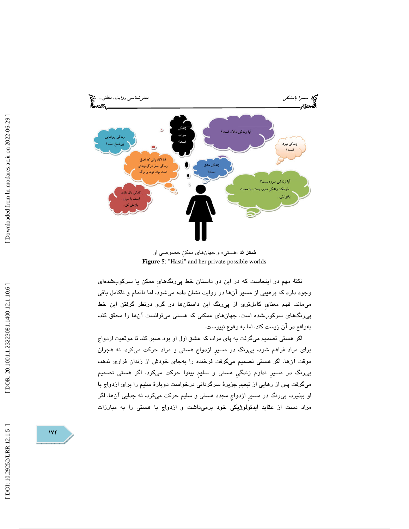

شكل 5 : «هستي و » جهانهاي ممكنِ خصوصي او **Figure 5**: "Hasti" and her private possible worlds

نكتهٔ مهم در اينجاست كه در اين دو داستان خط پي رنگهاي ممكن يا سركوبشدهاي وجود دارد كه پرهيبي از مسير آنها در روايت نشان داده ميشود ، اما ناتمام و ناكامل باقي ميماند. فهم معنايِ كاملتري از پيرنگ اين داستانها در گرو درنظر گرفتن اين خط پيرنگهاي سركوبشده است. جهانهاي ممكني كه هستي ميتوانست آنها را محقق كند، بهواقع در آن زيست كند، اما به وقوع نپيوست.

اگر هستي تصميم ميگرفت به پاي مراد، كه عشق اول او بود صبر كند تا موقعيت ازدواج براي مراد فراهم شود، پيرنگ در مسيرِ ازدواج هستي و مراد حركت ميكرد، نه هجران موقت آنها. اگر هستي تصميم ميگرفت فرخنده را بهجاي خودش از زندان فراري ندهد، پيرنگ در مسيرِ تداوم زندگيِ هستي و سليمِ بينوا حركت ميكرد. اگر هستي تصميم ميگرفت پس از رهايي از تبعيد جزيرة سرگرداني درخواست دوبارة سليم را براي ازدواج با او بپذيرد، پيرنگ در مسيرِ ازدواجِ مجدد هستي و سليم حركت ميكرد، نه جدايي آنها. اگر مراد دست از عقايد ايدئولوژيكي خود برميداشت و ازدواج با هستي را به مبارزات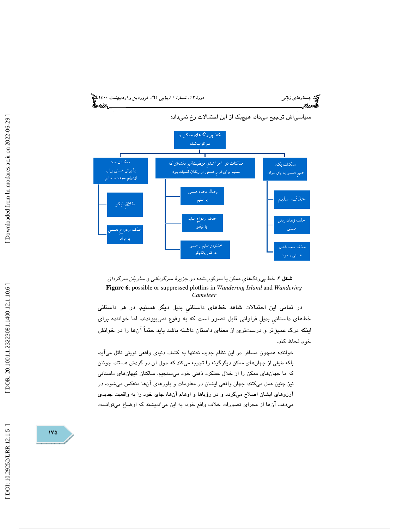





در تمامي اين احتمالات شاهد خطهاي داستانيِ بديل ديگر هستيم. در هر داستاني خطهاي داستانيِ بديلِ فراواني قابل تصور است كه به وقوع نميپيوندند، اما خواننده براي اينكه درك عميقتر و درستتري از معناي داستان داشته باشد بايد حتماً آنها را در خوانش خود لحاظ كند.

خواننده همچون مسافر در اين نظام جديد، نهتنها به كشف دنياي واقعي نويني نائل ميآيد، بلكه طيفي از جهانهاي ممكن ديگرگونه را تجربه ميكند كه حول آن در گردش هستند. چونان كه ما جهانهاي ممكن را از خلال عملكرد ذهني خود ميسنجيم، ساكنان كيهانهاي داستاني نيز چنين عمل ميكنند: جهان واقعي ايشان در معلومات و باورهاي آنها منعكس ميشود، در آرزوهاي ايشان اصلاح ميگردد و در رؤياها و اوهام آنها، جاي خود را به واقعيت جديدي ميدهد. آنها از مجراي تصورات خلاف واقع خود، به اين ميانديشند كه اوضاع ميتوانست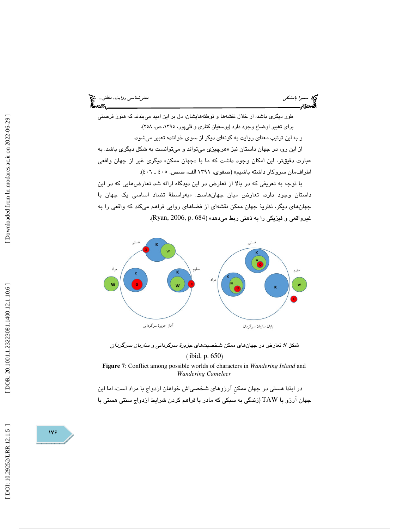سميرا بامشكي معنيشناس*ي روايت، منطق...*. الميخ<br>الصحيح التي تعني معني معني المستخدم التي تعني معني معني من التي تعني التي تعني التي تعني التي تعني التي تعني ا<br>الصحيح التي تعني التي تعني التي تعني التي تعني التي تعني التي ت

طور ديگري باشد، از خلال نقشهها و توطئههايشان، دل بر اين اميد ميبندند كه هنوز فرصتي براي تغيير اوضاع وجود دارد (يوسفيان كناري و قليپور، ،1395 ص. 258 ). و به اين ترتيب معناي روايت به گونهاي ديگر از سوي خواننده تعبير ميشود. از اين رو، در جهان داستان نيز «هرچيزي ميتواند و ميتوانست به شكل ديگري باشد. به عبارت دقيقتر، اين امكان وجود داشت كه ما با «جهان ممكن» ديگرى غير از جهان واقعى اطرافمان سروكار داشته باشيم» (صفوي، ١٣٩١ الف، صص. ٤٠٥ ـ ٤٠٦).

با توجه به تعريفي كه در بالا از تعارض در اين ديدگاه ارائه شد تعارضهايي كه در اين داستان وجود دارد، تعارض میان جهانهاست. «بەواسطهٔ تضاد اساسی یک جهان با جهانهاي ديگر، نظرية جهان ممكن نقشهاي از فضاهاي روايي فراهم ميكند كه واقعي را به غيرواقعي و فيزيكي را به ذهني ربط مي دهد» (Ryan, 2006, p. 684).



شكل ۷: تعارض در جهانهاي ممكن شخصيتهاي ج*زيرهٔ سرگرداني و ساربان سرگردان* ( ibid, p. 650 )

**Figure 7**: Conflict among possible worlds of characters in *Wandering Island* and *Wandering Cameleer*

در ابتدا هستي در جهان ممكن آرزوهاي شخصي|ش خواهان ازدواج با مراد است، اما اين جهان آرزو با TAW) زندگي به سبكي كه مادر با فراهم كردن شرايط ازدواج سنتي هستي با

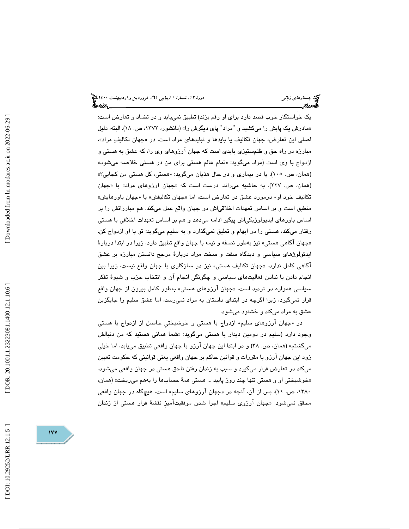يك خواستگار خوب قصد دارد براي او رقم بزند) تطبيق نمييابد و در تضاد و تعارض است: «مادرش يک پايش را مىکشيد و "مراد" پاى ديگرش را» (دانشور، ۱۳۷۲، ص. ۱۸). البته، دليل اصلی این تعارض، جهان تکالیف یا بایدها و نبایدهای مراد است. در «جهان تکالیفِ مراد»، مبارزه در راه حق و ظلمستيزي بايدي است كه جهان آرزوهاي وي را، كه عشق به هستي و ازدواج با وي است (مراد ميگويد: «تمام عالم هستي براي من در هستي خلاصه ميشود» (همان، ص. ١٠٥). يا در بيماري و در حال هذيان ميگويد: «هستي، كل هستي من كجايي؟» (همان، ص. ۲۲۷)، به حاشیه میراند. درست است که «جهان ارزوهای مراد» با «جهان تكاليف خود او» درمورد عشق در تعارض است، اما «جهان تكاليفش» با «جهان باورهايش» منطبق است و بر اساس تعهدات اخلاقياش در جهان واقع عمل ميكند. هم مبارزاتش را بر اساس باورهاي ايديولوژيكياش پيگير ادامه ميدهد و هم بر اساس تعهدات اخلاقي با هستي رفتار ميكند، هستي را در ابهام و تعليق نميگذارد و به سليم ميگويد: تو با او ازدواج كن. «جهان اگاهي هستي» نيز بهطور نصفه و نيمه با جهان واقع تطبيق دارد، زيرا در ابتدا دربارهٔ ايدئولوژهاي سياسي و ديدگاه سفت و سخت مراد دربارة مرجح دانستن مبارزه بر عشق اگاهی كامل ندارد. «جهان تكاليف هستی» نيز در سازگاری با جهان واقع نيست، زيرا بين انجام دادن يا ندادن فعاليتهاي سياسي و چگونگي انجام آن و انتخاب حزب و شيوة تفكر سیاسی همواره در تردید است. «جهان ارزوهای هستی» بهطور کامل بیرون از جهان واقع قرار نميگيرد، زيرا اگرچه در ابتداي داستان به مراد نميرسد، اما عشق سليم را جايگزين عشق به مراد ميكند و خشنود ميشود.

در «جهان ارزوهای سلیم» ازدواج با هستی و خوشبختی حاصل از ازدواج با هستی وجود دارد (سليم در دومين ديدار با هستي ميگويد: «شما هماني هستيد كه من دنبالش ميگشتم» (همان، ص. 38) و در ابتدا اين جهان آرزو با جهان واقعي تطبيق مييابد ، اما خيلي زود اين جهان آرزو با مقررات و قوانين حاكم بر جهان واقعي يعني قوانيني كه حكومت تعيين ميكند در تعارض قرار ميگيرد و سبب به زندان رفتن ناحق هستي در جهان واقعي ميشود. خوشبختي او و هستي تنها چند روز پاييد ... هستي همة حسابها را بههم ميريخت» (همان، » ۱۳۸۰، ص. ۱۱). پس از آن، آنچه در «جهان ارزوهای سلیم» است، هیچگاه در جهان واقعی محقق نمیشود. «جهان ارزوی سلیم» اجرا شدن موفقیتامیز نقشهٔ فرار هستی از زندان

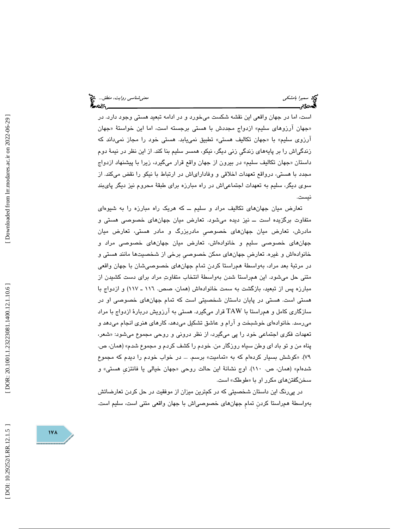است ، اما در جهان واقعي اين نقشه شكست ميخورد و در ادامه تبعيد هستي وجود دارد. در «جهان ارزوهای سلیم» ازدواج مجددش با هستی برجسته است، اما این خواستهٔ «جهان ارزوی سلیم» با «جهان تكالیف هستی» تطبیق نمییابد. هستی خود را مجاز نمیداند كه زندگياش را بر پايههاي زندگيِ زني ديگر، نيكو، همسر سليم بنا كند. از اين نظر در نيمة دوم جهان تكاليف سليم» در بيرون از جهان واقع قرار ميگيرد، زيرا با پيشنهاد ازدواج داستان « مجدد با هستي، درواقع تعهدات اخلاقي و وفاداراياش در ارتباط با نيكو را نقض ميكند. از سوي ديگر، سليم به تعهدات اجتماعياش در راه مبارزه براي طبقة محروم نيز ديگر پايبند نيست.

تعارض ميان جهانهاي تكاليف مراد و سليم ــ كه هريك راه مبارزه را به شيوهاي متفاوت برگزيده است ــ نيز ديده ميشود. تعارض ميان جهانهاي خصوصي هستي و مادرش، تعارض ميان جهانهاي خصوصيِ مادربزرگ و مادر هستي، تعارض ميان جهانهاي خصوصي سليم و خانوادهاش، تعارض ميان جهانهاي خصوصي مراد و خانوادهاش و غيره. تعارضِ جهانهاي ممكن خصوصيِ برخي از شخصيتها مانند هستي و در مرتبة بعد مراد، بهواسطة همراستا كردنِ تمامِ جهانهاي خصوصيشان با جهان واقعي متني حل ميشود. اين همراستا شدن بهواسطة انتخاب متفاوت مراد براي دست كشيدن از مبارزه پس از تبعيد، بازگشت به سمت خانوادهاش (همان، صص. 116 ـ 117) و ازدواج با هستي است. هستي در پايان داستان شخصيتي است كه تمام جهانهاي خصوصي او در سازگاري كامل و همراستا با TAW قرار ميگيرد. هستي به آرزويش دربارة ازدواج با مراد ميرسد. خانوادهاي خوشبخت و آرام و عاشق تشكيل ميدهد، كارهاي هنري انجام ميدهد و تعهدات فكرى اجتماعي خود را پي ميگيرد، از نظر دروني و روحي مجموع ميشود: «شعر، پناه من و تو باد اي وطن سياه روزگار من. خودم را كشف كردم و مجموع شدم» (همان، ص. ۷۹). «كوشش بسيار كردهام كه به «تماميت» برسم. … در خواب خودم را ديدم كه مجموع شدهام» (همان، ص. ١١٠). اوج نشانهٔ اين حالت روحي «جهان خيالي يا فانتزى هستي» و سخنگفتنهای مکرر او با «طوطک» است.

در پیرنگ اين داستان شخصيتی كه در كم¤رين ميزان از موفقيت در حل كردن تعارضاتش<br>بهواسطهٔ همراستا كردن تمام جهانهای خصوصی|ش با جهان واقعی متنی است، سليم است.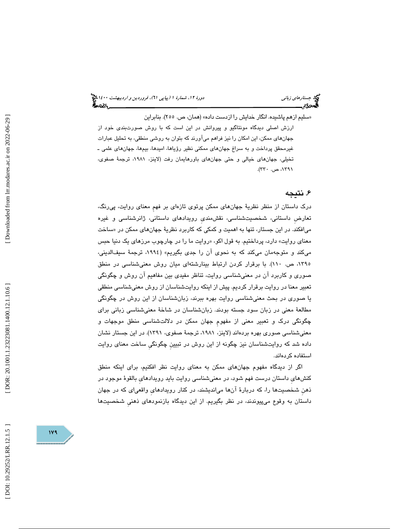سليم ازهم پاشيده. انگار خدايش را ازدست داده» (همان، ص. 255). بنابراين » ارزش اصلي ديدگاه مونتاگيو و پيروانش در اين است كه با روش صورتبندي خود از جهانهاي ممكن، اين امكان را نيز فراهم ميآورند كه بتوان به روشي منطقي، به تحليل عبارات غيرمحقق پرداخت و به سراغ جهانهاي ممكني نظير رؤياها، اميدها، بيمها، جهانهاي علمي ـ تخيلي، جهانهاي خيالي و حتي جهانهاي باورهايمان رفت (لاينز، ،1981 ترجمة صفوي ، ،1391 ص. 330 ).

### ۶. نتيجه

درك داستان از منظر نظرية جهانهاي ممكن پرتوي تازهاي بر فهمِ معناي روايت، پيرنگ، تعارضِ داستاني، شخصيتشناسي، نقشمنديِ رويدادهاي داستاني، ژانرشناسي و غيره میافکند. در این جستار، تنها به اهمیت و کمکی که کاربرد نظریهٔ جهانها*ی* ممکن در «ساخت معنای روايت» دارد، پرداختيم. به قول اكو، «روايت ما را در چارچوب مرزهای يک دنيا حبس ميكند و متوجهمان ميكند كه به نحوي آن را جدي بگيريم» (١٩٩٤، ترجمهٔ سيفالديني، ،1395 ص. 110). با برقرار كردن ارتباط بينارشتهاي ميان روش معنيشناسي در منطق صوري و كاربرد آن در معنيشناسي روايت، تناظر مفيدي بين مفاهيم آن روش و چگونگي تعبير معنا در روايت برقرار كرديم. پيش از اينكه روايتشناسان از روش معنيشناسي منطقي يا صوري در بحث معنيشناسي روايت بهره ببرند، زبانشناسان از اين روش در چگونگي مطالعة معني در زبان سود جسته بودند. زبانشناسان در شاخة معنيشناسي زباني براي چگونگي درك و تعبير معني از مفهومِ جهان ممكن در دلالتشناسي منطق موجهات و معنيشناسي صوري بهره بردهاند (لاينز، ،1981 ترجمة صفوي، 1391). در اين جستار نشان داده شد كه روايتشناسان نيز چگونه از اين روش در تبيينِ چگونگيِ ساخت معناي روايت استفاده كردهاند.

اگر از ديدگاه مفهوم جهانهاي ممكن به معناي روايت نظر افكنيم، براي اينكه منطق كنشهايِ داستان درست فهم شود، در معنيشناسي روايت بايد رويدادهايِ بالقوة موجود در ذهنِ شخصيتها را ، كه دربارة آنها ميانديشند ، در كنار رويدادهايِ واقعياي كه در جهان داستان به وقوع ميپيوندند، در نظر بگيريم. از اين ديدگاه بازنمودهاي ذهنيِ شخصيتها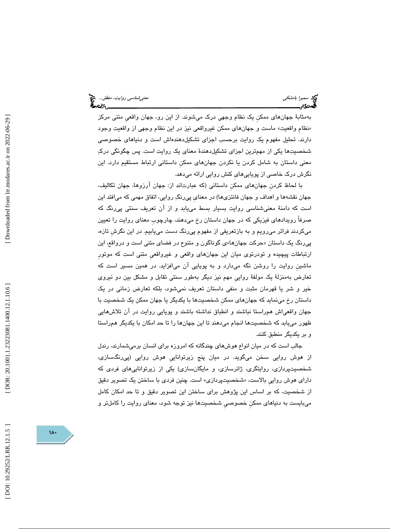بهمثابة جهانهاي ممكنِ يك نظام وجهي درك ميشوند. از اين رو، جهان واقعيِ متني مركز «نظام واقعيت» ماست و جهانِهاي ممكن غيرواقعي نيز در اين نظام وجهي از واقعيت وجود دارند. تحليل مفهوم يك روايت برحسب اجزاي تشكيلدهندهاش است و دنياهاي خصوصي شخصیتها یکی از مهمترین اجزای تشکیلدهندهٔ معنای یک روایت است. پس چگونگی درک معني داستان به شامل كردن يا نكردن جهانهاي ممكنِ داستاني ارتباط مستقيم دارد. اين نگرش درك خاصي از پوياييهايِ كنش روايي ارائه ميدهد.

با لحاظ كردنِ جهانهاي ممكنِ داستاني (كه عبارتاند از: جهان آرزوها، جهان تكاليف، جهان نقشهها و اهداف و جهان فانتزيها) در معنايِ پيرنگ روايي، اتفاق مهمي كه ميافتد اين است كه دامنة معنيشناسي روايت بسيار بسط مييابد و از آن تعريف سنتي پيرنگ كه صرفاً رويدادهاي فيزيكي كه در جهان داستان رخ ميدهند، چارچوبِ معناي روايت را تعيين ميكردند فراتر ميرويم و به بازتعريفي از مفهوم پيرنگ دست مييابيم. در اين نگرشِ تازه، پیرنگ یک داستان «حرکت جهانها»ی گوناگون و متنوع در فضای متنی است و درواقع، این ارتباطات پيچيده و تودرتوي ميان اين جهانهاي واقعي و غيرواقعيِ متني است كه موتورِ ماشينِ روايت را روشن نگه ميدارد و به پويايي آن ميافزايد. در همين مسير است كه تعارض بهمنزلة يك مولفة رواييِ مهم نيز ديگر بهطور سنتي تقابل و مشكل بين دو نيروي خير و شر يا قهرمان مثبت و منفي داستان تعريف نميشود، بلكه تعارض زماني در يك داستان رخ مينمايد كه جهانهاي ممكنِ شخصيتها با يكديگر يا جهان ممكن يك شخصيت با جهان واقعياش همراستا نباشند و انطباق نداشته باشند و پويايي روايت در آن تلاشهايي ظهور مييابد كه شخصيتها انجام ميدهند تا اين جهانها را تا حد امكان با يكديگر همراستا و بر يكديگر منطبق كنند.

جالب است كه در ميان انواع هوش هاي چندگانه كه امروزه براي انسان برميشمارند، رندل از هوش روايي سخن ميگويد. در ميان پنج زيرتواناييِ هوش روايي (پي رنگسازي، شخصيتپردازي، روايتگري، ژانرسازي، و مايگانسازي) يكي از زيرتواناييهايِ فردي كه دارای هوش روايي بالاست، «شخصیتپردازی» است. چنین فردی با ساختن یک تصویر دقیق از شخصيت، كه بر اساس اين پژوهش براي ساختن اين تصوير دقيق و تا حد امكان كامل ميبايست به دنياهاي ممكنِ خصوصيِ شخصيتها نيز توجه شود، معناي روايت را كاملتر و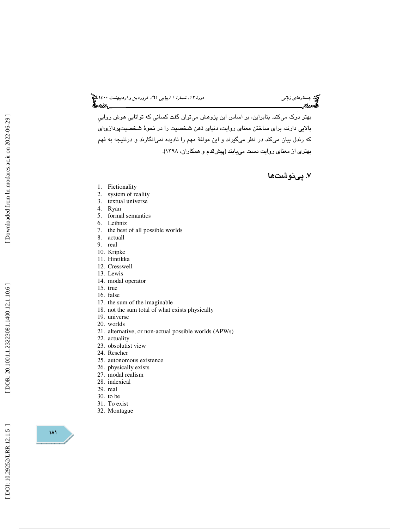# جستار*هاي زباني هي المرديبهشت 1400 ه*ورو 11، شمارة 1 (پياپي 71)، فر*وردين و ارديبهشت 14*00 هج

بهتر درك ميكند. بنابراين، بر اساس اين پژوهش ميتوان گفت كساني كه توانايي هوش رواييِ بالايي دارند، براي ساختن معناي روايت، دنياي ذهن شخصيت را در نحوة شخصيتپردازياي كه رندل بيان ميكند در نظر ميگيرند و اين مولفة مهم را ناديده نميانگارند و درنتيجه به فهم بهتري از معناي روايت دست مييابند (پيشقدم و همكاران، 1398 ).

. پينوشتها 7

- 1. Fictionality
- 2. system of reality
- 3. textual universe
- 4. Ryan
- 5. formal semantics
- 6. Leibniz
- 7. the best of all possible worlds
- 8. actuall
- 9. real
- 10. Kripke 11. Hintikka
- 12. Cresswell
- 13. Lewis
- 14. modal operator
- 15. true
- 16. false
- 17. the sum of the imaginable
- 18. not the sum total of what exists physically
- 19. universe
- 20. worlds
- 21. alternative, or non-actual possible worlds (APWs)
- 22. actuality
- 23. obsolutist view
- 24. Rescher
- 25. autonomous existence
- 26. physically exists
- 27. modal realism
- 28. indexical
- 29. real
- 30. to be
- 31. To exist
- 32. Montague

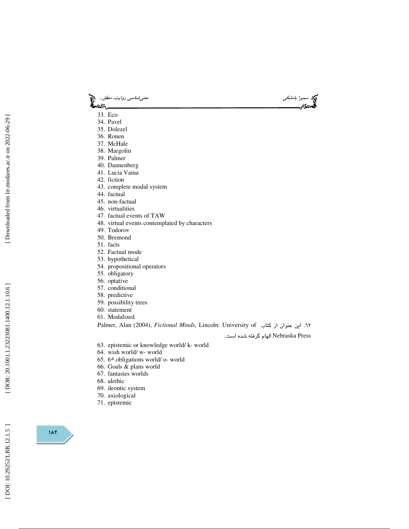- سميرا بامشكى معنى تسميرا بامشكي معنى المسلمان بالمشكل المسلمان المسلمان المسلمان المسلمان المسلمان المسلمان ال<br>المسلمان المسلمان المسلمان المسلمان المسلمان المسلمان المسلمان المسلمان المسلمان المسلمان المسلمان المسلمان ال ) જિલ્લ<sub>ા</sub>
	- 33. Eco
	- 34. Pavel
	- 35. Dolezel
	- 36. Ronen
	- 37. McHale
	- 38. Margolin
	- 39. Palmer
	- 40. Dannenberg
	- 41. Lucia Vaina
	- 42. fiction
	- 43. complete modal system
	- 44. factual
	- 45. non-factual
	- 46. virtualities
	- 47. factual events of TAW
	- 48. virtual events contemplated by characters
	- 49. Todorov
	- 50. Bremond
	- 51. facts
	- 52. Factual mode
	- 53. hypothetical
	- 54. propositional operators
	- 55. obligatory
	- 56. optative
	- 57. conditional
	- 58. predictive
	- 59. possibility trees
	- 60. statement
	- 61. Modalized

Palmer, Alan (2004), *Fictional Minds*, Lincoln: University of كتاب از عنوان اين 62.

Press Nebraska الهام گرفته شده است .

- 63. epistemic or knowledge world/ k- world
- 64. wish world/ w- world
- 65. 6 ٥.obligations world/ o- world
- 66. Goals & plans world
- 67. fantasies worlds
- 68. alethic
- 69. deontic system
- 70. axiological
- 71. epistemic

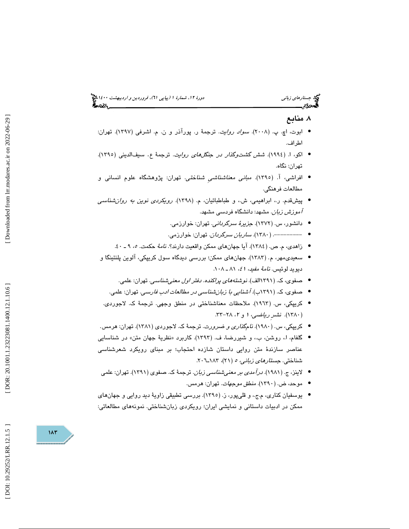### . منابع 8

- ابوت، اچ. پ. (۲۰۰۸). *سواد روايت*. ترجمهٔ ر. پورآذر و ن. م. اشرفی (۱۳۹۷). تهران: اطراف.
- اكو، ا. (١٩٩٤). *شش گشتوگذار در جنگلهاى روايت*. ترجمهٔ ع. سيفالديني (١٣٩٥). تهران: نگاه.
- افراشي، آ. (1395). مباني معناشناشيِ شناختي. تهران: پژوهشگاه علوم انساني و مطالعات فرهنگي.
- پيشقدم. ر،. ابراهيمي، ش،. و طباطبائيان، م. (1398). رويكردي نوين به روانشناسي آموزش زبان. مشهد: دانشگاه فردسي مشهد.
	- دانشور، س. (1372). جزيرة سرگرداني. تهران: خوارزمي. •
	- -------- . (1380). ساربان سرگردان. تهران: خوارزمي. •
	- زاهدي، م. ص. (١٣٨٤). آيا جهانهاي ممكن واقعيت دارند؟. *نامهٔ* حكمت. ٥، ٩ ـ ٤٠.
- سعیدی،مهر، م. (۱۳۸۳). جهانهای ممکن؛ بررسی دیدگاه سول کریپکی، آلوین پلنتینگا و ديويد لوئيس. *نامهٔ مفيد، ٤١،* ٨١ ـ ٠٨٨.
	- صفوي، ك. (1391الف). نوشتههاي پراكنده. دفتر اول معنيشناسي . تهران: علمي. •
	- صفوي، ك. (1391ب). آشنايي با زبانشناسي در مطالعات ادب فارسي. تهران: علمي. •
- كريپكي، س. (١٩٦٣). ملاحظات معناشناختي در منطق وجهي. ترجمهٔ ک. لاجوردي. (۱۳۸۰). نشىرِ ري*اضى، ۱ و ۲، ۲۸–*۳۳.
- كريپكي، س. (١٩٨٠). *نامگذارى و ضرورت*. ترجمهٔ ك. لاجوردى (١٣٨١). تهران: هرمس.
- گلفام، ا.، روشن، ب.، و شیررضا، ف. (۱۳۹۳). کاربرد «نظریهٔ جهان متن» در شناسایی عناصر سازندهٔ متن روايی داستان شازده احتجاب؛ بر مبنای رویکرد شعرشناسی<br>شناختی. *جستارهای زبانی، ه* (۲۱)، ۱۸۳ـ۲۰۲.
- لاینز، ج. (۱۹۸۱). *درآمدی بر معنی شناسی زبان*. ترجمهٔ ک. صفوی (۱۳۹۱). تهران: علمی
	- موحد، ض. (1390). منطق موجهات. تهران: هرمس. •
- يوسفيان كناري، م.ج،. و قليپور، ز. (1395). بررسي تطبيقي زاوية ديد روايي و جهانهاي ممكن در ادبيات داستاني و نمايشي ايران؛ رويكردي زبانشناختي. نمونههاي مطالعاتي:

DOI: 10.29252/LRR.12.1.5

 $117$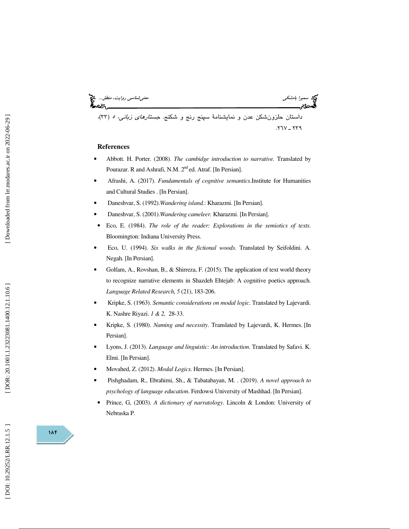سميرا بامشكي معنيشناسي روايت، منطق... ،(33 ) 239 ـ .267 داستان حلزونشكن عدن و نمايشنامة سپنج رنج و شكنج. جستارهاي زباني، <sup>5</sup>

#### **References**

- Abbott. H. Porter. (2008). *The cambidge introduction to narrative.* Translated by Pourazar. R and Ashrafi, N.M. 2<sup>nd</sup> ed. Atraf. [In Persian].
- Afrashi, A. (2017). *Fundamentals of cognitive semantics*.Institute for Humanities and Cultural Studies . [In Persian].
- Daneshvar, S. (1992).*Wandering island.*: Kharazmi. [In Persian].
- Daneshvar, S. (2001).*Wandering cameleer.* Kharazmi. [In Persian].
- Eco, E. (1984). *The role of the reader: Explorations in the semiotics of texts*. Bloomington: Indiana University Press.
- Eco, U. (1994). *Six walks in the fictional woods*. Translated by Seifoldini. A. Negah. [In Persian].
- Golfam, A., Rovshan, B., & Shirreza, F. (2015). The application of text world theory to recognize narrative elements in Shazdeh Ehtejab: A cognitive poetics approach. *Language Related Research*, *5* (21), 183-206.
- Kripke, S. (1963). *Semantic considerations on modal logic*. Translated by Lajevardi. K. Nashre Riyazi. *1 & 2,* 28-33.
- Kripke, S. (1980). *Naming and necessity*. Translated by Lajevardi, K. Hermes. [In Persian].
- Lyons, J. (2013). *Language and linguistic: An introduction*. Translated by Safavi. K. Elmi. [In Persian].
- Movahed, Z. (2012). *Modal Logics*. Hermes. [In Persian].
- Pishghadam, R., Ebrahimi, Sh., & Tabatabayan, M. . (2019). *A novel approach to psychology of language education*. Ferdowsi University of Mashhad. [In Persian].
- Prince, G, (2003). *A dictionary of narratology*. Lincoln & London: University of Nebraska P.